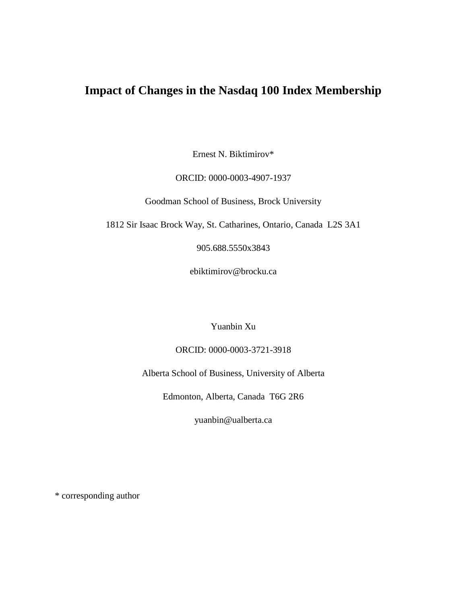# **Impact of Changes in the Nasdaq 100 Index Membership**

Ernest N. Biktimirov\*

## ORCID: 0000-0003-4907-1937

Goodman School of Business, Brock University

1812 Sir Isaac Brock Way, St. Catharines, Ontario, Canada L2S 3A1

905.688.5550x3843

ebiktimirov@brocku.ca

Yuanbin Xu

ORCID: 0000-0003-3721-3918

Alberta School of Business, University of Alberta

Edmonton, Alberta, Canada T6G 2R6

yuanbin@ualberta.ca

\* corresponding author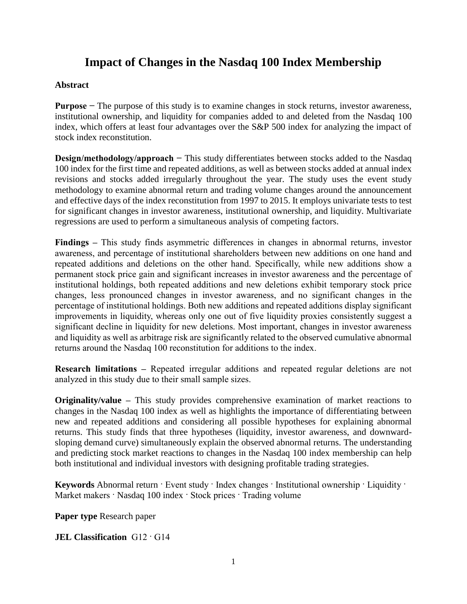# **Impact of Changes in the Nasdaq 100 Index Membership**

# **Abstract**

**Purpose −** The purpose of this study is to examine changes in stock returns, investor awareness, institutional ownership, and liquidity for companies added to and deleted from the Nasdaq 100 index, which offers at least four advantages over the S&P 500 index for analyzing the impact of stock index reconstitution.

**Design/methodology/approach** − This study differentiates between stocks added to the Nasdaq 100 index for the first time and repeated additions, as well as between stocks added at annual index revisions and stocks added irregularly throughout the year. The study uses the event study methodology to examine abnormal return and trading volume changes around the announcement and effective days of the index reconstitution from 1997 to 2015. It employs univariate tests to test for significant changes in investor awareness, institutional ownership, and liquidity. Multivariate regressions are used to perform a simultaneous analysis of competing factors.

**Findings –** This study finds asymmetric differences in changes in abnormal returns, investor awareness, and percentage of institutional shareholders between new additions on one hand and repeated additions and deletions on the other hand. Specifically, while new additions show a permanent stock price gain and significant increases in investor awareness and the percentage of institutional holdings, both repeated additions and new deletions exhibit temporary stock price changes, less pronounced changes in investor awareness, and no significant changes in the percentage of institutional holdings. Both new additions and repeated additions display significant improvements in liquidity, whereas only one out of five liquidity proxies consistently suggest a significant decline in liquidity for new deletions. Most important, changes in investor awareness and liquidity as well as arbitrage risk are significantly related to the observed cumulative abnormal returns around the Nasdaq 100 reconstitution for additions to the index.

**Research limitations –** Repeated irregular additions and repeated regular deletions are not analyzed in this study due to their small sample sizes.

**Originality/value –** This study provides comprehensive examination of market reactions to changes in the Nasdaq 100 index as well as highlights the importance of differentiating between new and repeated additions and considering all possible hypotheses for explaining abnormal returns. This study finds that three hypotheses (liquidity, investor awareness, and downwardsloping demand curve) simultaneously explain the observed abnormal returns. The understanding and predicting stock market reactions to changes in the Nasdaq 100 index membership can help both institutional and individual investors with designing profitable trading strategies.

**Keywords** Abnormal return · Event study · Index changes · Institutional ownership · Liquidity · Market makers · Nasdaq 100 index · Stock prices · Trading volume

**Paper type** Research paper

**JEL Classification** G12 · G14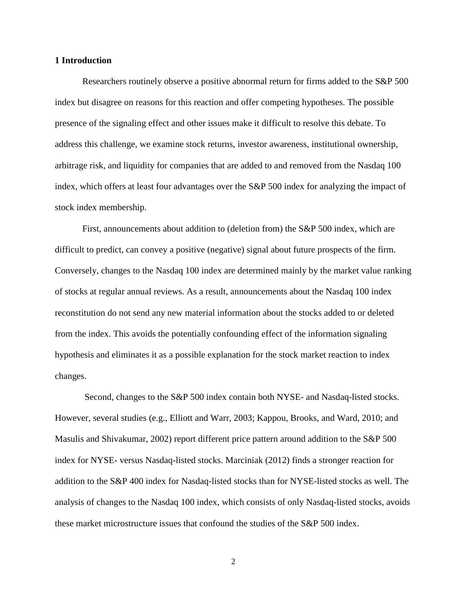#### **1 Introduction**

Researchers routinely observe a positive abnormal return for firms added to the S&P 500 index but disagree on reasons for this reaction and offer competing hypotheses. The possible presence of the signaling effect and other issues make it difficult to resolve this debate. To address this challenge, we examine stock returns, investor awareness, institutional ownership, arbitrage risk, and liquidity for companies that are added to and removed from the Nasdaq 100 index, which offers at least four advantages over the S&P 500 index for analyzing the impact of stock index membership.

First, announcements about addition to (deletion from) the S&P 500 index, which are difficult to predict, can convey a positive (negative) signal about future prospects of the firm. Conversely, changes to the Nasdaq 100 index are determined mainly by the market value ranking of stocks at regular annual reviews. As a result, announcements about the Nasdaq 100 index reconstitution do not send any new material information about the stocks added to or deleted from the index. This avoids the potentially confounding effect of the information signaling hypothesis and eliminates it as a possible explanation for the stock market reaction to index changes.

Second, changes to the S&P 500 index contain both NYSE- and Nasdaq-listed stocks. However, several studies (e.g., Elliott and Warr, 2003; Kappou, Brooks, and Ward, 2010; and Masulis and Shivakumar, 2002) report different price pattern around addition to the S&P 500 index for NYSE- versus Nasdaq-listed stocks. Marciniak (2012) finds a stronger reaction for addition to the S&P 400 index for Nasdaq-listed stocks than for NYSE-listed stocks as well. The analysis of changes to the Nasdaq 100 index, which consists of only Nasdaq-listed stocks, avoids these market microstructure issues that confound the studies of the S&P 500 index.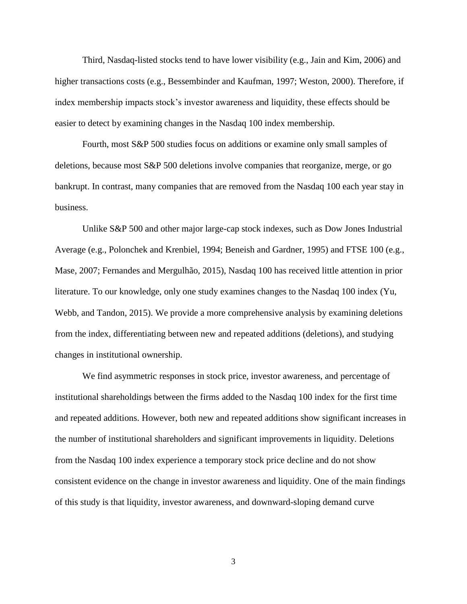Third, Nasdaq-listed stocks tend to have lower visibility (e.g., Jain and Kim, 2006) and higher transactions costs (e.g., Bessembinder and Kaufman, 1997; Weston, 2000). Therefore, if index membership impacts stock's investor awareness and liquidity, these effects should be easier to detect by examining changes in the Nasdaq 100 index membership.

Fourth, most S&P 500 studies focus on additions or examine only small samples of deletions, because most S&P 500 deletions involve companies that reorganize, merge, or go bankrupt. In contrast, many companies that are removed from the Nasdaq 100 each year stay in business.

Unlike S&P 500 and other major large-cap stock indexes, such as Dow Jones Industrial Average (e.g., Polonchek and Krenbiel, 1994; Beneish and Gardner, 1995) and FTSE 100 (e.g., Mase, 2007; Fernandes and Mergulhão, 2015), Nasdaq 100 has received little attention in prior literature. To our knowledge, only one study examines changes to the Nasdaq 100 index (Yu, Webb, and Tandon, 2015). We provide a more comprehensive analysis by examining deletions from the index, differentiating between new and repeated additions (deletions), and studying changes in institutional ownership.

We find asymmetric responses in stock price, investor awareness, and percentage of institutional shareholdings between the firms added to the Nasdaq 100 index for the first time and repeated additions. However, both new and repeated additions show significant increases in the number of institutional shareholders and significant improvements in liquidity. Deletions from the Nasdaq 100 index experience a temporary stock price decline and do not show consistent evidence on the change in investor awareness and liquidity. One of the main findings of this study is that liquidity, investor awareness, and downward-sloping demand curve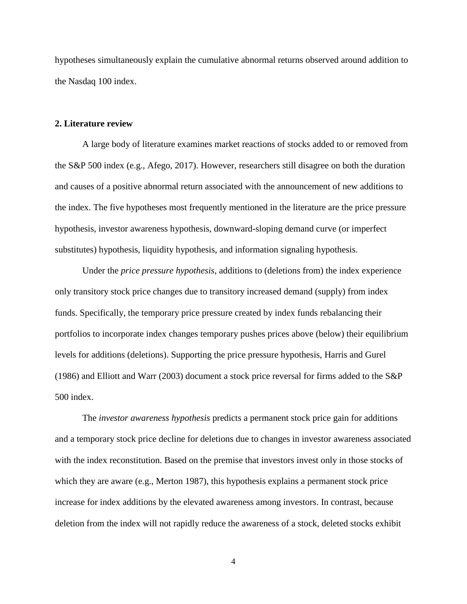hypotheses simultaneously explain the cumulative abnormal returns observed around addition to the Nasdaq 100 index.

#### **2. Literature review**

A large body of literature examines market reactions of stocks added to or removed from the S&P 500 index (e.g., Afego, 2017). However, researchers still disagree on both the duration and causes of a positive abnormal return associated with the announcement of new additions to the index. The five hypotheses most frequently mentioned in the literature are the price pressure hypothesis, investor awareness hypothesis, downward-sloping demand curve (or imperfect substitutes) hypothesis, liquidity hypothesis, and information signaling hypothesis.

Under the *price pressure hypothesis*, additions to (deletions from) the index experience only transitory stock price changes due to transitory increased demand (supply) from index funds. Specifically, the temporary price pressure created by index funds rebalancing their portfolios to incorporate index changes temporary pushes prices above (below) their equilibrium levels for additions (deletions). Supporting the price pressure hypothesis, Harris and Gurel (1986) and Elliott and Warr (2003) document a stock price reversal for firms added to the S&P 500 index.

The *investor awareness hypothesis* predicts a permanent stock price gain for additions and a temporary stock price decline for deletions due to changes in investor awareness associated with the index reconstitution. Based on the premise that investors invest only in those stocks of which they are aware (e.g., Merton 1987), this hypothesis explains a permanent stock price increase for index additions by the elevated awareness among investors. In contrast, because deletion from the index will not rapidly reduce the awareness of a stock, deleted stocks exhibit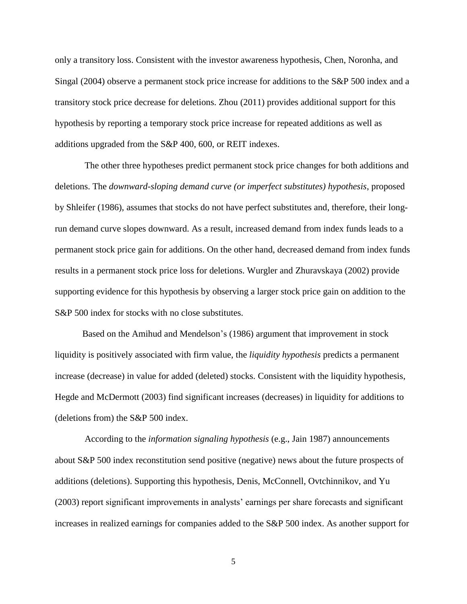only a transitory loss. Consistent with the investor awareness hypothesis, Chen, Noronha, and Singal (2004) observe a permanent stock price increase for additions to the S&P 500 index and a transitory stock price decrease for deletions. Zhou (2011) provides additional support for this hypothesis by reporting a temporary stock price increase for repeated additions as well as additions upgraded from the S&P 400, 600, or REIT indexes.

The other three hypotheses predict permanent stock price changes for both additions and deletions. The *downward-sloping demand curve (or imperfect substitutes) hypothesis*, proposed by Shleifer (1986), assumes that stocks do not have perfect substitutes and, therefore, their longrun demand curve slopes downward. As a result, increased demand from index funds leads to a permanent stock price gain for additions. On the other hand, decreased demand from index funds results in a permanent stock price loss for deletions. Wurgler and Zhuravskaya (2002) provide supporting evidence for this hypothesis by observing a larger stock price gain on addition to the S&P 500 index for stocks with no close substitutes.

Based on the Amihud and Mendelson's (1986) argument that improvement in stock liquidity is positively associated with firm value, the *liquidity hypothesis* predicts a permanent increase (decrease) in value for added (deleted) stocks. Consistent with the liquidity hypothesis, Hegde and McDermott (2003) find significant increases (decreases) in liquidity for additions to (deletions from) the S&P 500 index.

According to the *information signaling hypothesis* (e.g., Jain 1987) announcements about S&P 500 index reconstitution send positive (negative) news about the future prospects of additions (deletions). Supporting this hypothesis, Denis, McConnell, Ovtchinnikov, and Yu (2003) report significant improvements in analysts' earnings per share forecasts and significant increases in realized earnings for companies added to the S&P 500 index. As another support for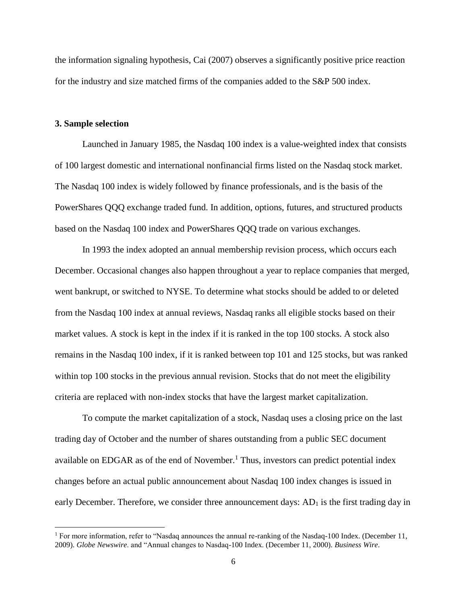the information signaling hypothesis, Cai (2007) observes a significantly positive price reaction for the industry and size matched firms of the companies added to the S&P 500 index.

#### **3. Sample selection**

 $\overline{\phantom{a}}$ 

Launched in January 1985, the Nasdaq 100 index is a value-weighted index that consists of 100 largest domestic and international nonfinancial firms listed on the Nasdaq stock market. The Nasdaq 100 index is widely followed by finance professionals, and is the basis of the PowerShares QQQ exchange traded fund. In addition, options, futures, and structured products based on the Nasdaq 100 index and PowerShares QQQ trade on various exchanges.

In 1993 the index adopted an annual membership revision process, which occurs each December. Occasional changes also happen throughout a year to replace companies that merged, went bankrupt, or switched to NYSE. To determine what stocks should be added to or deleted from the Nasdaq 100 index at annual reviews, Nasdaq ranks all eligible stocks based on their market values. A stock is kept in the index if it is ranked in the top 100 stocks. A stock also remains in the Nasdaq 100 index, if it is ranked between top 101 and 125 stocks, but was ranked within top 100 stocks in the previous annual revision. Stocks that do not meet the eligibility criteria are replaced with non-index stocks that have the largest market capitalization.

To compute the market capitalization of a stock, Nasdaq uses a closing price on the last trading day of October and the number of shares outstanding from a public SEC document available on EDGAR as of the end of November.<sup>1</sup> Thus, investors can predict potential index changes before an actual public announcement about Nasdaq 100 index changes is issued in early December. Therefore, we consider three announcement days:  $AD<sub>1</sub>$  is the first trading day in

<sup>&</sup>lt;sup>1</sup> For more information, refer to "Nasdaq announces the annual re-ranking of the Nasdaq-100 Index. (December 11, 2009). *Globe Newswire*. and "Annual changes to Nasdaq-100 Index. (December 11, 2000). *Business Wire*.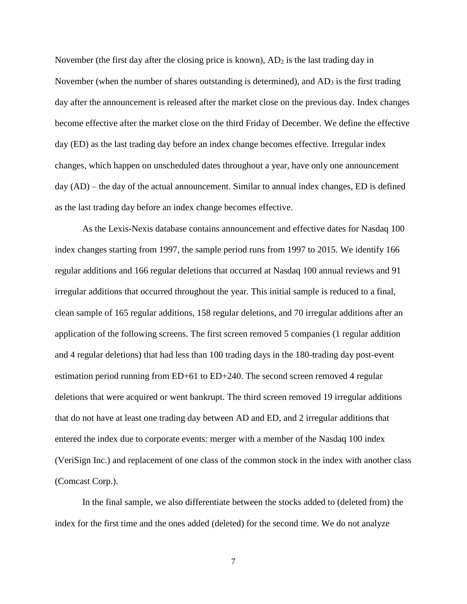November (the first day after the closing price is known),  $AD<sub>2</sub>$  is the last trading day in November (when the number of shares outstanding is determined), and  $AD_3$  is the first trading day after the announcement is released after the market close on the previous day. Index changes become effective after the market close on the third Friday of December. We define the effective day (ED) as the last trading day before an index change becomes effective. Irregular index changes, which happen on unscheduled dates throughout a year, have only one announcement day (AD) – the day of the actual announcement. Similar to annual index changes, ED is defined as the last trading day before an index change becomes effective.

As the Lexis-Nexis database contains announcement and effective dates for Nasdaq 100 index changes starting from 1997, the sample period runs from 1997 to 2015. We identify 166 regular additions and 166 regular deletions that occurred at Nasdaq 100 annual reviews and 91 irregular additions that occurred throughout the year. This initial sample is reduced to a final, clean sample of 165 regular additions, 158 regular deletions, and 70 irregular additions after an application of the following screens. The first screen removed 5 companies (1 regular addition and 4 regular deletions) that had less than 100 trading days in the 180-trading day post-event estimation period running from ED+61 to ED+240. The second screen removed 4 regular deletions that were acquired or went bankrupt. The third screen removed 19 irregular additions that do not have at least one trading day between AD and ED, and 2 irregular additions that entered the index due to corporate events: merger with a member of the Nasdaq 100 index (VeriSign Inc.) and replacement of one class of the common stock in the index with another class (Comcast Corp.).

In the final sample, we also differentiate between the stocks added to (deleted from) the index for the first time and the ones added (deleted) for the second time. We do not analyze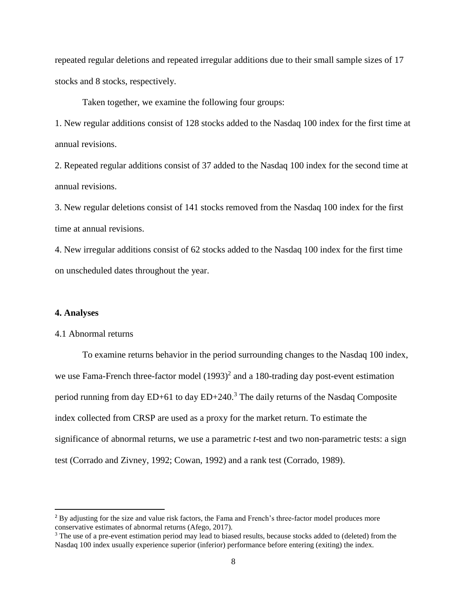repeated regular deletions and repeated irregular additions due to their small sample sizes of 17 stocks and 8 stocks, respectively.

Taken together, we examine the following four groups:

1. New regular additions consist of 128 stocks added to the Nasdaq 100 index for the first time at annual revisions.

2. Repeated regular additions consist of 37 added to the Nasdaq 100 index for the second time at annual revisions.

3. New regular deletions consist of 141 stocks removed from the Nasdaq 100 index for the first time at annual revisions.

4. New irregular additions consist of 62 stocks added to the Nasdaq 100 index for the first time on unscheduled dates throughout the year.

### **4. Analyses**

 $\overline{\phantom{a}}$ 

#### 4.1 Abnormal returns

To examine returns behavior in the period surrounding changes to the Nasdaq 100 index, we use Fama-French three-factor model  $(1993)^2$  and a 180-trading day post-event estimation period running from day  $ED+61$  to day  $ED+240$ .<sup>3</sup> The daily returns of the Nasdaq Composite index collected from CRSP are used as a proxy for the market return. To estimate the significance of abnormal returns, we use a parametric *t*-test and two non-parametric tests: a sign test (Corrado and Zivney, 1992; Cowan, 1992) and a rank test (Corrado, 1989).

<sup>&</sup>lt;sup>2</sup> By adjusting for the size and value risk factors, the Fama and French's three-factor model produces more conservative estimates of abnormal returns (Afego, 2017).

<sup>&</sup>lt;sup>3</sup> The use of a pre-event estimation period may lead to biased results, because stocks added to (deleted) from the Nasdaq 100 index usually experience superior (inferior) performance before entering (exiting) the index.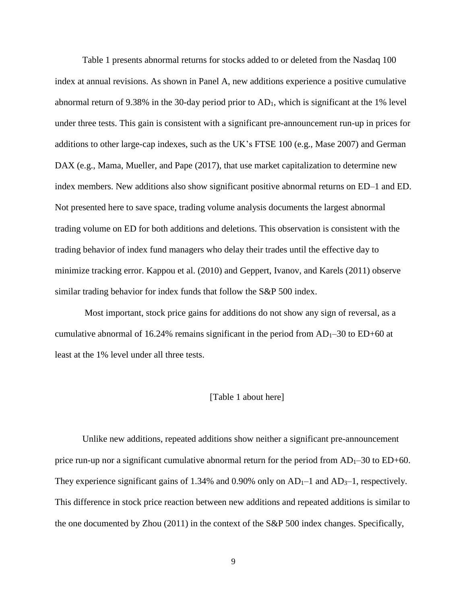Table 1 presents abnormal returns for stocks added to or deleted from the Nasdaq 100 index at annual revisions. As shown in Panel A, new additions experience a positive cumulative abnormal return of 9.38% in the 30-day period prior to  $AD<sub>1</sub>$ , which is significant at the 1% level under three tests. This gain is consistent with a significant pre-announcement run-up in prices for additions to other large-cap indexes, such as the UK's FTSE 100 (e.g., Mase 2007) and German DAX (e.g., Mama, Mueller, and Pape (2017), that use market capitalization to determine new index members. New additions also show significant positive abnormal returns on ED–1 and ED. Not presented here to save space, trading volume analysis documents the largest abnormal trading volume on ED for both additions and deletions. This observation is consistent with the trading behavior of index fund managers who delay their trades until the effective day to minimize tracking error. Kappou et al. (2010) and Geppert, Ivanov, and Karels (2011) observe similar trading behavior for index funds that follow the S&P 500 index.

Most important, stock price gains for additions do not show any sign of reversal, as a cumulative abnormal of 16.24% remains significant in the period from  $AD_1-30$  to  $ED+60$  at least at the 1% level under all three tests.

#### [Table 1 about here]

Unlike new additions, repeated additions show neither a significant pre-announcement price run-up nor a significant cumulative abnormal return for the period from  $AD_1-30$  to  $ED+60$ . They experience significant gains of 1.34% and 0.90% only on  $AD_1-1$  and  $AD_3-1$ , respectively. This difference in stock price reaction between new additions and repeated additions is similar to the one documented by Zhou (2011) in the context of the S&P 500 index changes. Specifically,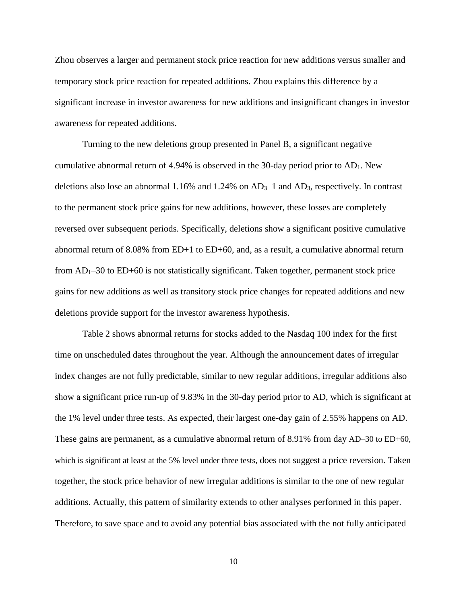Zhou observes a larger and permanent stock price reaction for new additions versus smaller and temporary stock price reaction for repeated additions. Zhou explains this difference by a significant increase in investor awareness for new additions and insignificant changes in investor awareness for repeated additions.

Turning to the new deletions group presented in Panel B, a significant negative cumulative abnormal return of 4.94% is observed in the 30-day period prior to  $AD_1$ . New deletions also lose an abnormal 1.16% and 1.24% on  $AD_3$ –1 and  $AD_3$ , respectively. In contrast to the permanent stock price gains for new additions, however, these losses are completely reversed over subsequent periods. Specifically, deletions show a significant positive cumulative abnormal return of 8.08% from ED+1 to ED+60, and, as a result, a cumulative abnormal return from  $AD_1-30$  to  $ED+60$  is not statistically significant. Taken together, permanent stock price gains for new additions as well as transitory stock price changes for repeated additions and new deletions provide support for the investor awareness hypothesis.

Table 2 shows abnormal returns for stocks added to the Nasdaq 100 index for the first time on unscheduled dates throughout the year. Although the announcement dates of irregular index changes are not fully predictable, similar to new regular additions, irregular additions also show a significant price run-up of 9.83% in the 30-day period prior to AD, which is significant at the 1% level under three tests. As expected, their largest one-day gain of 2.55% happens on AD. These gains are permanent, as a cumulative abnormal return of 8.91% from day AD–30 to ED+60, which is significant at least at the 5% level under three tests, does not suggest a price reversion. Taken together, the stock price behavior of new irregular additions is similar to the one of new regular additions. Actually, this pattern of similarity extends to other analyses performed in this paper. Therefore, to save space and to avoid any potential bias associated with the not fully anticipated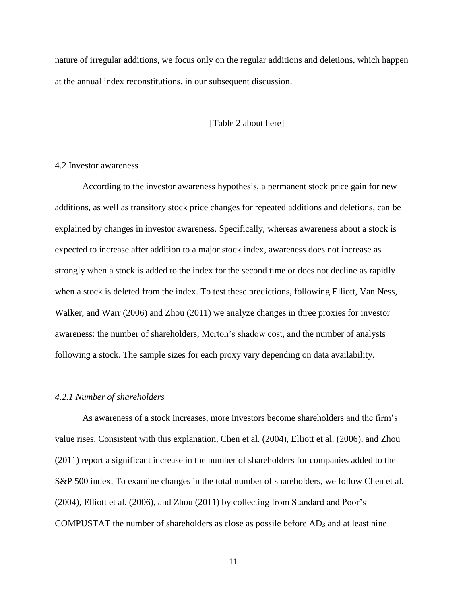nature of irregular additions, we focus only on the regular additions and deletions, which happen at the annual index reconstitutions, in our subsequent discussion.

### [Table 2 about here]

## 4.2 Investor awareness

According to the investor awareness hypothesis, a permanent stock price gain for new additions, as well as transitory stock price changes for repeated additions and deletions, can be explained by changes in investor awareness. Specifically, whereas awareness about a stock is expected to increase after addition to a major stock index, awareness does not increase as strongly when a stock is added to the index for the second time or does not decline as rapidly when a stock is deleted from the index. To test these predictions, following Elliott, Van Ness, Walker, and Warr (2006) and Zhou (2011) we analyze changes in three proxies for investor awareness: the number of shareholders, Merton's shadow cost, and the number of analysts following a stock. The sample sizes for each proxy vary depending on data availability.

#### *4.2.1 Number of shareholders*

As awareness of a stock increases, more investors become shareholders and the firm's value rises. Consistent with this explanation, Chen et al. (2004), Elliott et al. (2006), and Zhou (2011) report a significant increase in the number of shareholders for companies added to the S&P 500 index. To examine changes in the total number of shareholders, we follow Chen et al. (2004), Elliott et al. (2006), and Zhou (2011) by collecting from Standard and Poor's COMPUSTAT the number of shareholders as close as possile before  $AD_3$  and at least nine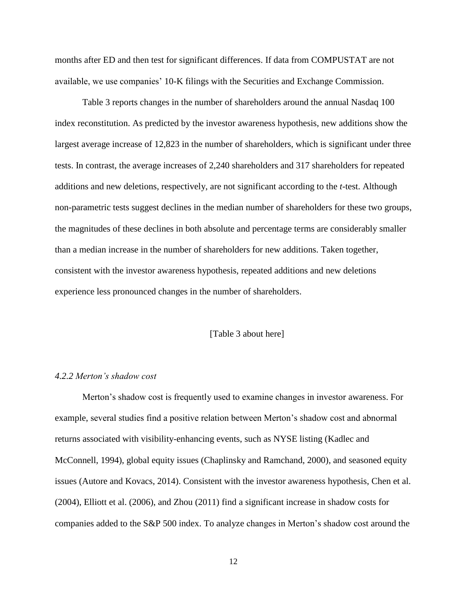months after ED and then test for significant differences. If data from COMPUSTAT are not available, we use companies' 10-K filings with the Securities and Exchange Commission.

Table 3 reports changes in the number of shareholders around the annual Nasdaq 100 index reconstitution. As predicted by the investor awareness hypothesis, new additions show the largest average increase of 12,823 in the number of shareholders, which is significant under three tests. In contrast, the average increases of 2,240 shareholders and 317 shareholders for repeated additions and new deletions, respectively, are not significant according to the *t*-test. Although non-parametric tests suggest declines in the median number of shareholders for these two groups, the magnitudes of these declines in both absolute and percentage terms are considerably smaller than a median increase in the number of shareholders for new additions. Taken together, consistent with the investor awareness hypothesis, repeated additions and new deletions experience less pronounced changes in the number of shareholders.

#### [Table 3 about here]

# *4.2.2 Merton's shadow cost*

Merton's shadow cost is frequently used to examine changes in investor awareness. For example, several studies find a positive relation between Merton's shadow cost and abnormal returns associated with visibility-enhancing events, such as NYSE listing (Kadlec and McConnell, 1994), global equity issues (Chaplinsky and Ramchand, 2000), and seasoned equity issues (Autore and Kovacs, 2014). Consistent with the investor awareness hypothesis, Chen et al. (2004), Elliott et al. (2006), and Zhou (2011) find a significant increase in shadow costs for companies added to the S&P 500 index. To analyze changes in Merton's shadow cost around the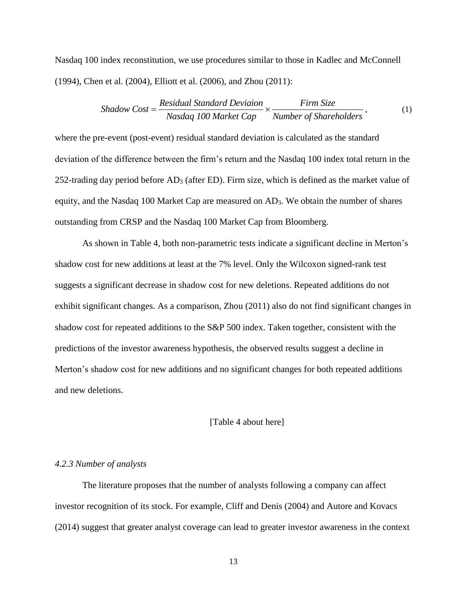Nasdaq 100 index reconstitution, we use procedures similar to those in Kadlec and McConnell (1994), Chen et al. (2004), Elliott et al. (2006), and Zhou (2011):

n et al. (2004), Elliott et al. (2006), and Zhou (2011):  
\nShadow Cost = 
$$
\frac{Residual\ Standard\ Deviation}{Nasdaq\ 100\ Market\ Cap} \times \frac{Firm\ Size}{Number\ of\ Sharedbolders}},
$$
 (1)

where the pre-event (post-event) residual standard deviation is calculated as the standard deviation of the difference between the firm's return and the Nasdaq 100 index total return in the 252-trading day period before AD<sup>3</sup> (after ED). Firm size, which is defined as the market value of equity, and the Nasdaq 100 Market Cap are measured on AD3. We obtain the number of shares outstanding from CRSP and the Nasdaq 100 Market Cap from Bloomberg.

As shown in Table 4, both non-parametric tests indicate a significant decline in Merton's shadow cost for new additions at least at the 7% level. Only the Wilcoxon signed-rank test suggests a significant decrease in shadow cost for new deletions. Repeated additions do not exhibit significant changes. As a comparison, Zhou (2011) also do not find significant changes in shadow cost for repeated additions to the S&P 500 index. Taken together, consistent with the predictions of the investor awareness hypothesis, the observed results suggest a decline in Merton's shadow cost for new additions and no significant changes for both repeated additions and new deletions.

#### [Table 4 about here]

#### *4.2.3 Number of analysts*

The literature proposes that the number of analysts following a company can affect investor recognition of its stock. For example, Cliff and Denis (2004) and Autore and Kovacs (2014) suggest that greater analyst coverage can lead to greater investor awareness in the context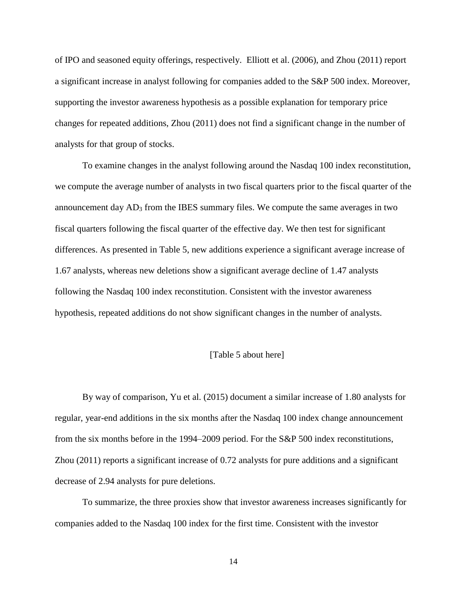of IPO and seasoned equity offerings, respectively. Elliott et al. (2006), and Zhou (2011) report a significant increase in analyst following for companies added to the S&P 500 index. Moreover, supporting the investor awareness hypothesis as a possible explanation for temporary price changes for repeated additions, Zhou (2011) does not find a significant change in the number of analysts for that group of stocks.

To examine changes in the analyst following around the Nasdaq 100 index reconstitution, we compute the average number of analysts in two fiscal quarters prior to the fiscal quarter of the announcement day AD<sup>3</sup> from the IBES summary files. We compute the same averages in two fiscal quarters following the fiscal quarter of the effective day. We then test for significant differences. As presented in Table 5, new additions experience a significant average increase of 1.67 analysts, whereas new deletions show a significant average decline of 1.47 analysts following the Nasdaq 100 index reconstitution. Consistent with the investor awareness hypothesis, repeated additions do not show significant changes in the number of analysts.

# [Table 5 about here]

By way of comparison, Yu et al. (2015) document a similar increase of 1.80 analysts for regular, year-end additions in the six months after the Nasdaq 100 index change announcement from the six months before in the 1994–2009 period. For the S&P 500 index reconstitutions, Zhou (2011) reports a significant increase of 0.72 analysts for pure additions and a significant decrease of 2.94 analysts for pure deletions.

To summarize, the three proxies show that investor awareness increases significantly for companies added to the Nasdaq 100 index for the first time. Consistent with the investor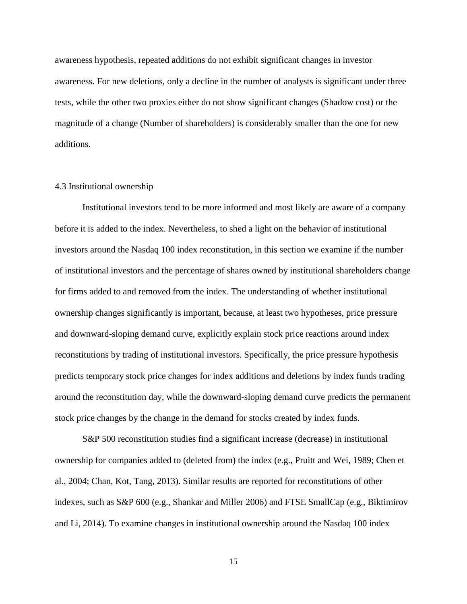awareness hypothesis, repeated additions do not exhibit significant changes in investor awareness. For new deletions, only a decline in the number of analysts is significant under three tests, while the other two proxies either do not show significant changes (Shadow cost) or the magnitude of a change (Number of shareholders) is considerably smaller than the one for new additions.

### 4.3 Institutional ownership

Institutional investors tend to be more informed and most likely are aware of a company before it is added to the index. Nevertheless, to shed a light on the behavior of institutional investors around the Nasdaq 100 index reconstitution, in this section we examine if the number of institutional investors and the percentage of shares owned by institutional shareholders change for firms added to and removed from the index. The understanding of whether institutional ownership changes significantly is important, because, at least two hypotheses, price pressure and downward-sloping demand curve, explicitly explain stock price reactions around index reconstitutions by trading of institutional investors. Specifically, the price pressure hypothesis predicts temporary stock price changes for index additions and deletions by index funds trading around the reconstitution day, while the downward-sloping demand curve predicts the permanent stock price changes by the change in the demand for stocks created by index funds.

S&P 500 reconstitution studies find a significant increase (decrease) in institutional ownership for companies added to (deleted from) the index (e.g., Pruitt and Wei, 1989; Chen et al., 2004; Chan, Kot, Tang, 2013). Similar results are reported for reconstitutions of other indexes, such as S&P 600 (e.g., Shankar and Miller 2006) and FTSE SmallCap (e.g., Biktimirov and Li, 2014). To examine changes in institutional ownership around the Nasdaq 100 index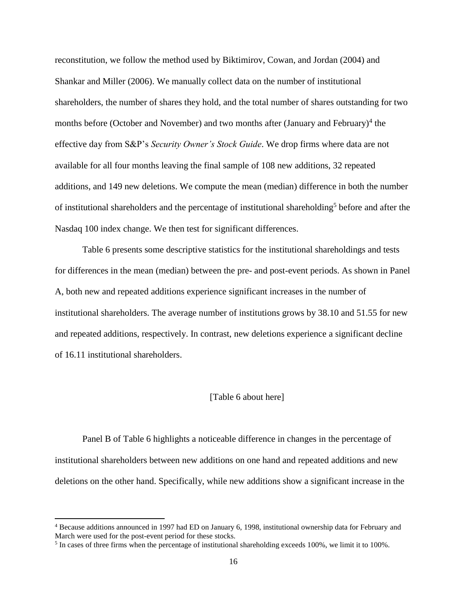reconstitution, we follow the method used by Biktimirov, Cowan, and Jordan (2004) and Shankar and Miller (2006). We manually collect data on the number of institutional shareholders, the number of shares they hold, and the total number of shares outstanding for two months before (October and November) and two months after (January and February)<sup>4</sup> the effective day from S&P's *Security Owner's Stock Guide*. We drop firms where data are not available for all four months leaving the final sample of 108 new additions, 32 repeated additions, and 149 new deletions. We compute the mean (median) difference in both the number of institutional shareholders and the percentage of institutional shareholding<sup>5</sup> before and after the Nasdaq 100 index change. We then test for significant differences.

Table 6 presents some descriptive statistics for the institutional shareholdings and tests for differences in the mean (median) between the pre- and post-event periods. As shown in Panel A, both new and repeated additions experience significant increases in the number of institutional shareholders. The average number of institutions grows by 38.10 and 51.55 for new and repeated additions, respectively. In contrast, new deletions experience a significant decline of 16.11 institutional shareholders.

#### [Table 6 about here]

Panel B of Table 6 highlights a noticeable difference in changes in the percentage of institutional shareholders between new additions on one hand and repeated additions and new deletions on the other hand. Specifically, while new additions show a significant increase in the

 $\overline{\phantom{a}}$ 

<sup>4</sup> Because additions announced in 1997 had ED on January 6, 1998, institutional ownership data for February and March were used for the post-event period for these stocks.

 $<sup>5</sup>$  In cases of three firms when the percentage of institutional shareholding exceeds 100%, we limit it to 100%.</sup>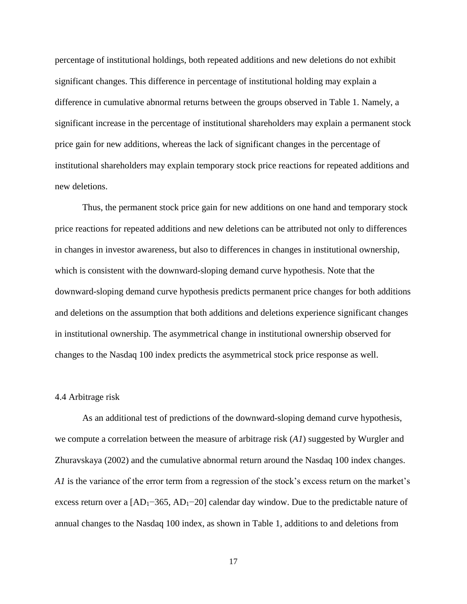percentage of institutional holdings, both repeated additions and new deletions do not exhibit significant changes. This difference in percentage of institutional holding may explain a difference in cumulative abnormal returns between the groups observed in Table 1. Namely, a significant increase in the percentage of institutional shareholders may explain a permanent stock price gain for new additions, whereas the lack of significant changes in the percentage of institutional shareholders may explain temporary stock price reactions for repeated additions and new deletions.

Thus, the permanent stock price gain for new additions on one hand and temporary stock price reactions for repeated additions and new deletions can be attributed not only to differences in changes in investor awareness, but also to differences in changes in institutional ownership, which is consistent with the downward-sloping demand curve hypothesis. Note that the downward-sloping demand curve hypothesis predicts permanent price changes for both additions and deletions on the assumption that both additions and deletions experience significant changes in institutional ownership. The asymmetrical change in institutional ownership observed for changes to the Nasdaq 100 index predicts the asymmetrical stock price response as well.

#### 4.4 Arbitrage risk

As an additional test of predictions of the downward-sloping demand curve hypothesis, we compute a correlation between the measure of arbitrage risk (*A1*) suggested by Wurgler and Zhuravskaya (2002) and the cumulative abnormal return around the Nasdaq 100 index changes. *A1* is the variance of the error term from a regression of the stock's excess return on the market's excess return over a [AD<sub>1</sub>−365, AD<sub>1</sub>−20] calendar day window. Due to the predictable nature of annual changes to the Nasdaq 100 index, as shown in Table 1, additions to and deletions from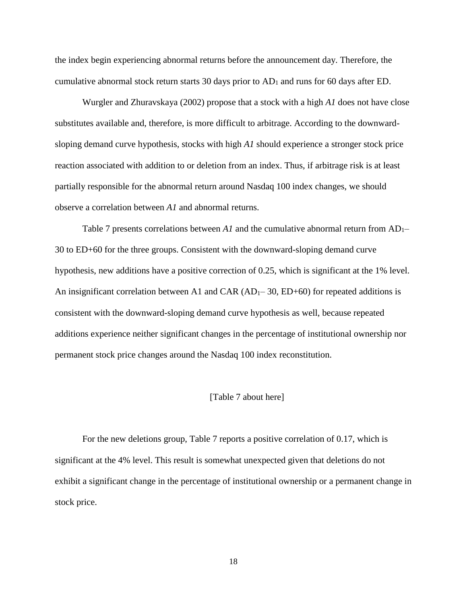the index begin experiencing abnormal returns before the announcement day. Therefore, the cumulative abnormal stock return starts 30 days prior to  $AD_1$  and runs for 60 days after ED.

Wurgler and Zhuravskaya (2002) propose that a stock with a high *A1* does not have close substitutes available and, therefore, is more difficult to arbitrage. According to the downwardsloping demand curve hypothesis, stocks with high *A1* should experience a stronger stock price reaction associated with addition to or deletion from an index. Thus, if arbitrage risk is at least partially responsible for the abnormal return around Nasdaq 100 index changes, we should observe a correlation between *A1* and abnormal returns.

Table 7 presents correlations between  $AI$  and the cumulative abnormal return from  $AD_1$ – 30 to ED+60 for the three groups. Consistent with the downward-sloping demand curve hypothesis, new additions have a positive correction of 0.25, which is significant at the 1% level. An insignificant correlation between A1 and CAR  $(AD_1-30, ED+60)$  for repeated additions is consistent with the downward-sloping demand curve hypothesis as well, because repeated additions experience neither significant changes in the percentage of institutional ownership nor permanent stock price changes around the Nasdaq 100 index reconstitution.

## [Table 7 about here]

For the new deletions group, Table 7 reports a positive correlation of 0.17, which is significant at the 4% level. This result is somewhat unexpected given that deletions do not exhibit a significant change in the percentage of institutional ownership or a permanent change in stock price.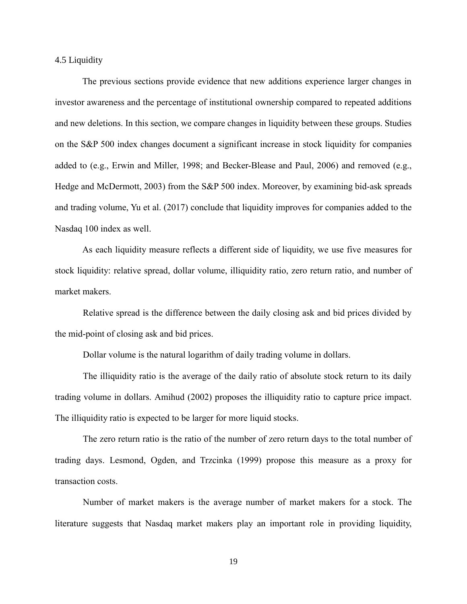4.5 Liquidity

The previous sections provide evidence that new additions experience larger changes in investor awareness and the percentage of institutional ownership compared to repeated additions and new deletions. In this section, we compare changes in liquidity between these groups. Studies on the S&P 500 index changes document a significant increase in stock liquidity for companies added to (e.g., Erwin and Miller, 1998; and Becker-Blease and Paul, 2006) and removed (e.g., Hedge and McDermott, 2003) from the S&P 500 index. Moreover, by examining bid-ask spreads and trading volume, Yu et al. (2017) conclude that liquidity improves for companies added to the Nasdaq 100 index as well.

As each liquidity measure reflects a different side of liquidity, we use five measures for stock liquidity: relative spread, dollar volume, illiquidity ratio, zero return ratio, and number of market makers.

Relative spread is the difference between the daily closing ask and bid prices divided by the mid-point of closing ask and bid prices.

Dollar volume is the natural logarithm of daily trading volume in dollars.

The illiquidity ratio is the average of the daily ratio of absolute stock return to its daily trading volume in dollars. Amihud (2002) proposes the illiquidity ratio to capture price impact. The illiquidity ratio is expected to be larger for more liquid stocks.

The zero return ratio is the ratio of the number of zero return days to the total number of trading days. Lesmond, Ogden, and Trzcinka (1999) propose this measure as a proxy for transaction costs.

Number of market makers is the average number of market makers for a stock. The literature suggests that Nasdaq market makers play an important role in providing liquidity,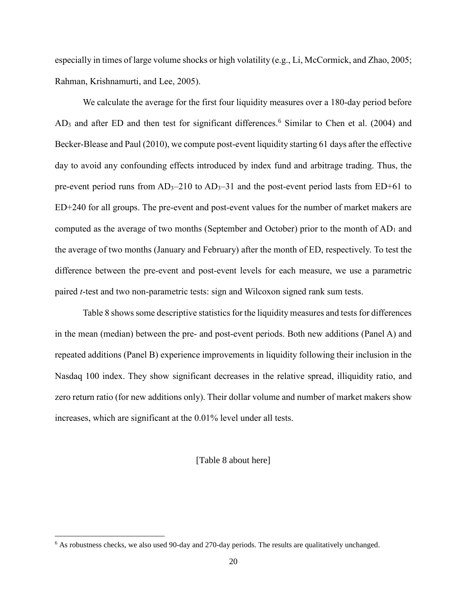especially in times of large volume shocks or high volatility (e.g., Li, McCormick, and Zhao, 2005; Rahman, Krishnamurti, and Lee, 2005).

We calculate the average for the first four liquidity measures over a 180-day period before  $AD_3$  and after ED and then test for significant differences.<sup>6</sup> Similar to Chen et al. (2004) and Becker-Blease and Paul (2010), we compute post-event liquidity starting 61 days after the effective day to avoid any confounding effects introduced by index fund and arbitrage trading. Thus, the pre-event period runs from  $AD_3-210$  to  $AD_3-31$  and the post-event period lasts from ED+61 to ED+240 for all groups. The pre-event and post-event values for the number of market makers are computed as the average of two months (September and October) prior to the month of  $AD_1$  and the average of two months (January and February) after the month of ED, respectively. To test the difference between the pre-event and post-event levels for each measure, we use a parametric paired *t*-test and two non-parametric tests: sign and Wilcoxon signed rank sum tests.

Table 8 shows some descriptive statistics for the liquidity measures and tests for differences in the mean (median) between the pre- and post-event periods. Both new additions (Panel A) and repeated additions (Panel B) experience improvements in liquidity following their inclusion in the Nasdaq 100 index. They show significant decreases in the relative spread, illiquidity ratio, and zero return ratio (for new additions only). Their dollar volume and number of market makers show increases, which are significant at the 0.01% level under all tests.

## [Table 8 about here]

 $\overline{\phantom{a}}$ 

<sup>6</sup> As robustness checks, we also used 90-day and 270-day periods. The results are qualitatively unchanged.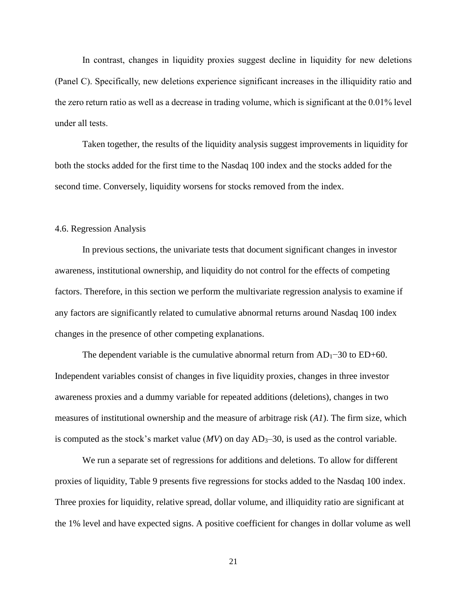In contrast, changes in liquidity proxies suggest decline in liquidity for new deletions (Panel C). Specifically, new deletions experience significant increases in the illiquidity ratio and the zero return ratio as well as a decrease in trading volume, which is significant at the 0.01% level under all tests.

Taken together, the results of the liquidity analysis suggest improvements in liquidity for both the stocks added for the first time to the Nasdaq 100 index and the stocks added for the second time. Conversely, liquidity worsens for stocks removed from the index.

### 4.6. Regression Analysis

In previous sections, the univariate tests that document significant changes in investor awareness, institutional ownership, and liquidity do not control for the effects of competing factors. Therefore, in this section we perform the multivariate regression analysis to examine if any factors are significantly related to cumulative abnormal returns around Nasdaq 100 index changes in the presence of other competing explanations.

The dependent variable is the cumulative abnormal return from  $AD_1$ −30 to ED+60. Independent variables consist of changes in five liquidity proxies, changes in three investor awareness proxies and a dummy variable for repeated additions (deletions), changes in two measures of institutional ownership and the measure of arbitrage risk (*A1*). The firm size, which is computed as the stock's market value  $(MV)$  on day  $AD_3-30$ , is used as the control variable.

We run a separate set of regressions for additions and deletions. To allow for different proxies of liquidity, Table 9 presents five regressions for stocks added to the Nasdaq 100 index. Three proxies for liquidity, relative spread, dollar volume, and illiquidity ratio are significant at the 1% level and have expected signs. A positive coefficient for changes in dollar volume as well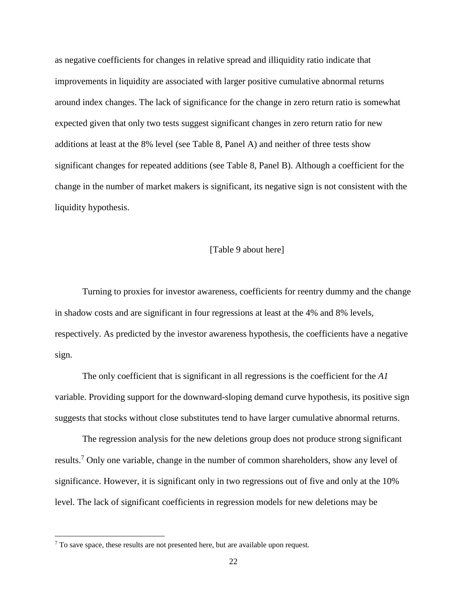as negative coefficients for changes in relative spread and illiquidity ratio indicate that improvements in liquidity are associated with larger positive cumulative abnormal returns around index changes. The lack of significance for the change in zero return ratio is somewhat expected given that only two tests suggest significant changes in zero return ratio for new additions at least at the 8% level (see Table 8, Panel A) and neither of three tests show significant changes for repeated additions (see Table 8, Panel B). Although a coefficient for the change in the number of market makers is significant, its negative sign is not consistent with the liquidity hypothesis.

## [Table 9 about here]

Turning to proxies for investor awareness, coefficients for reentry dummy and the change in shadow costs and are significant in four regressions at least at the 4% and 8% levels, respectively. As predicted by the investor awareness hypothesis, the coefficients have a negative sign.

The only coefficient that is significant in all regressions is the coefficient for the *A1* variable. Providing support for the downward-sloping demand curve hypothesis, its positive sign suggests that stocks without close substitutes tend to have larger cumulative abnormal returns.

The regression analysis for the new deletions group does not produce strong significant results.<sup>7</sup> Only one variable, change in the number of common shareholders, show any level of significance. However, it is significant only in two regressions out of five and only at the 10% level. The lack of significant coefficients in regression models for new deletions may be

 $\overline{\phantom{a}}$ 

 $7$  To save space, these results are not presented here, but are available upon request.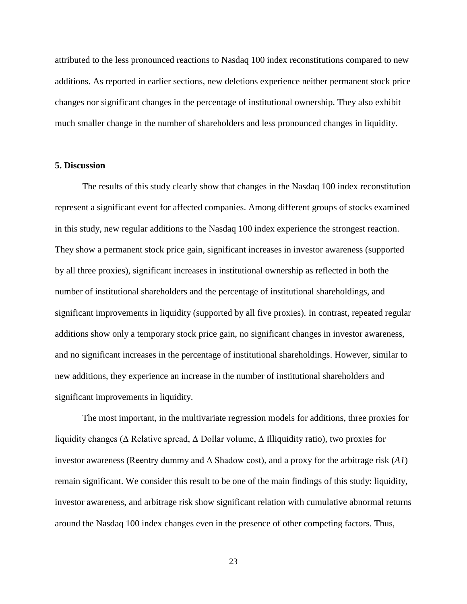attributed to the less pronounced reactions to Nasdaq 100 index reconstitutions compared to new additions. As reported in earlier sections, new deletions experience neither permanent stock price changes nor significant changes in the percentage of institutional ownership. They also exhibit much smaller change in the number of shareholders and less pronounced changes in liquidity.

#### **5. Discussion**

The results of this study clearly show that changes in the Nasdaq 100 index reconstitution represent a significant event for affected companies. Among different groups of stocks examined in this study, new regular additions to the Nasdaq 100 index experience the strongest reaction. They show a permanent stock price gain, significant increases in investor awareness (supported by all three proxies), significant increases in institutional ownership as reflected in both the number of institutional shareholders and the percentage of institutional shareholdings, and significant improvements in liquidity (supported by all five proxies). In contrast, repeated regular additions show only a temporary stock price gain, no significant changes in investor awareness, and no significant increases in the percentage of institutional shareholdings. However, similar to new additions, they experience an increase in the number of institutional shareholders and significant improvements in liquidity.

The most important, in the multivariate regression models for additions, three proxies for liquidity changes (Δ Relative spread, Δ Dollar volume, Δ Illiquidity ratio), two proxies for investor awareness (Reentry dummy and Δ Shadow cost), and a proxy for the arbitrage risk (*A1*) remain significant. We consider this result to be one of the main findings of this study: liquidity, investor awareness, and arbitrage risk show significant relation with cumulative abnormal returns around the Nasdaq 100 index changes even in the presence of other competing factors. Thus,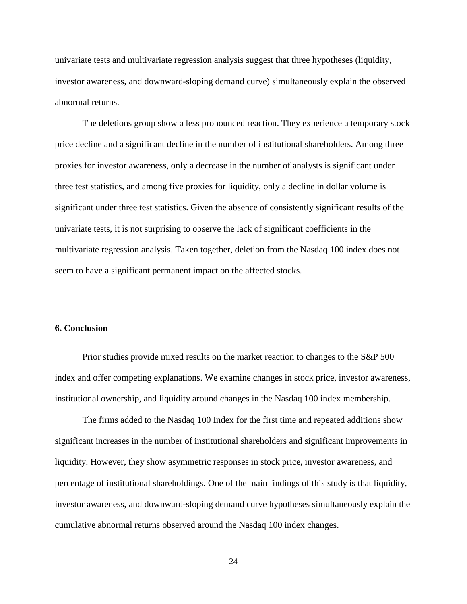univariate tests and multivariate regression analysis suggest that three hypotheses (liquidity, investor awareness, and downward-sloping demand curve) simultaneously explain the observed abnormal returns.

The deletions group show a less pronounced reaction. They experience a temporary stock price decline and a significant decline in the number of institutional shareholders. Among three proxies for investor awareness, only a decrease in the number of analysts is significant under three test statistics, and among five proxies for liquidity, only a decline in dollar volume is significant under three test statistics. Given the absence of consistently significant results of the univariate tests, it is not surprising to observe the lack of significant coefficients in the multivariate regression analysis. Taken together, deletion from the Nasdaq 100 index does not seem to have a significant permanent impact on the affected stocks.

# **6. Conclusion**

Prior studies provide mixed results on the market reaction to changes to the S&P 500 index and offer competing explanations. We examine changes in stock price, investor awareness, institutional ownership, and liquidity around changes in the Nasdaq 100 index membership.

The firms added to the Nasdaq 100 Index for the first time and repeated additions show significant increases in the number of institutional shareholders and significant improvements in liquidity. However, they show asymmetric responses in stock price, investor awareness, and percentage of institutional shareholdings. One of the main findings of this study is that liquidity, investor awareness, and downward-sloping demand curve hypotheses simultaneously explain the cumulative abnormal returns observed around the Nasdaq 100 index changes.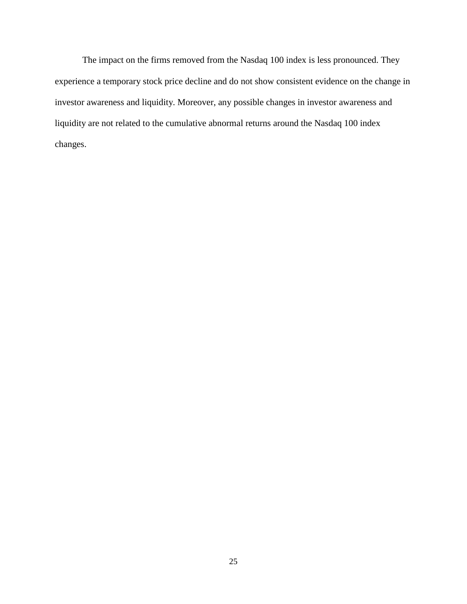The impact on the firms removed from the Nasdaq 100 index is less pronounced. They experience a temporary stock price decline and do not show consistent evidence on the change in investor awareness and liquidity. Moreover, any possible changes in investor awareness and liquidity are not related to the cumulative abnormal returns around the Nasdaq 100 index changes.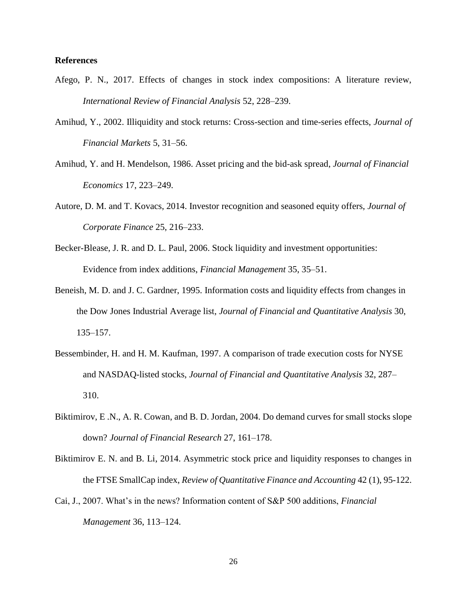### **References**

- Afego, P. N., 2017. Effects of changes in stock index compositions: A literature review, *International Review of Financial Analysis* 52, 228–239.
- Amihud, Y., 2002. Illiquidity and stock returns: Cross-section and time-series effects, *Journal of Financial Markets* 5, 31–56.
- Amihud, Y. and H. Mendelson, 1986. Asset pricing and the bid-ask spread, *Journal of Financial Economics* 17, 223–249.
- Autore, D. M. and T. Kovacs, 2014. Investor recognition and seasoned equity offers, *Journal of Corporate Finance* 25, 216–233.
- Becker-Blease, J. R. and D. L. Paul, 2006. Stock liquidity and investment opportunities: Evidence from index additions, *Financial Management* 35, 35–51.
- Beneish, M. D. and J. C. Gardner, 1995. Information costs and liquidity effects from changes in the Dow Jones Industrial Average list, *Journal of Financial and Quantitative Analysis* 30, 135–157.
- Bessembinder, H. and H. M. Kaufman, 1997. A comparison of trade execution costs for NYSE and NASDAQ-listed stocks, *Journal of Financial and Quantitative Analysis* 32, 287– 310.
- Biktimirov, E .N., A. R. Cowan, and B. D. Jordan, 2004. Do demand curves for small stocks slope down? *Journal of Financial Research* 27, 161–178.
- Biktimirov E. N. and B. Li, 2014. Asymmetric stock price and liquidity responses to changes in the FTSE SmallCap index, *Review of Quantitative Finance and Accounting* 42 (1), 95-122.
- Cai, J., 2007. What's in the news? Information content of S&P 500 additions, *Financial Management* 36, 113–124.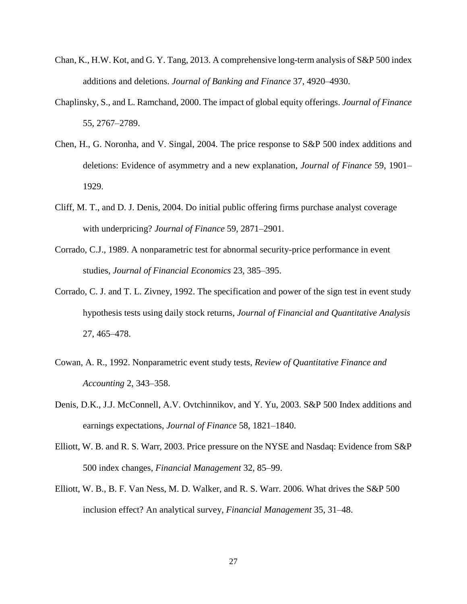- Chan, K., H.W. Kot, and G. Y. Tang, 2013. A comprehensive long-term analysis of S&P 500 index additions and deletions. *Journal of Banking and Finance* 37, 4920–4930.
- Chaplinsky, S., and L. Ramchand, 2000. The impact of global equity offerings. *Journal of Finance* 55, 2767–2789.
- Chen, H., G. Noronha, and V. Singal, 2004. The price response to S&P 500 index additions and deletions: Evidence of asymmetry and a new explanation, *Journal of Finance* 59, 1901– 1929.
- Cliff, M. T., and D. J. Denis, 2004. Do initial public offering firms purchase analyst coverage with underpricing? *Journal of Finance* 59, 2871–2901.
- Corrado, C.J., 1989. A nonparametric test for abnormal security-price performance in event studies, *Journal of Financial Economics* 23, 385–395.
- Corrado, C. J. and T. L. Zivney, 1992. The specification and power of the sign test in event study hypothesis tests using daily stock returns, *Journal of Financial and Quantitative Analysis*  27, 465–478.
- Cowan, A. R., 1992. Nonparametric event study tests, *Review of Quantitative Finance and Accounting* 2, 343–358.
- Denis, D.K., J.J. McConnell, A.V. Ovtchinnikov, and Y. Yu, 2003. S&P 500 Index additions and earnings expectations, *Journal of Finance* 58, 1821–1840.
- Elliott, W. B. and R. S. Warr, 2003. Price pressure on the NYSE and Nasdaq: Evidence from S&P 500 index changes, *Financial Management* 32, 85–99.
- Elliott, W. B., B. F. Van Ness, M. D. Walker, and R. S. Warr. 2006. What drives the S&P 500 inclusion effect? An analytical survey, *Financial Management* 35, 31–48.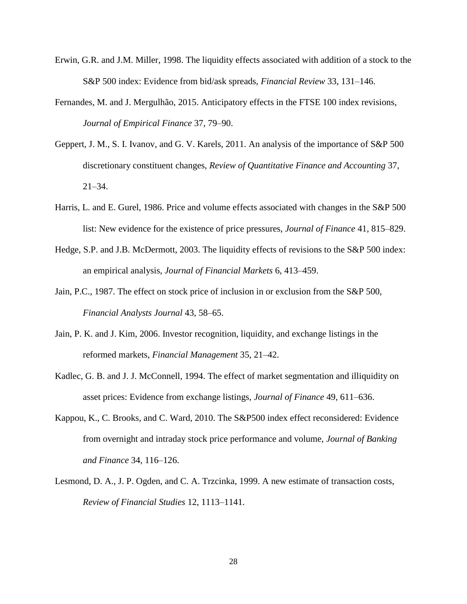- Erwin, G.R. and J.M. Miller, 1998. The liquidity effects associated with addition of a stock to the S&P 500 index: Evidence from bid/ask spreads, *Financial Review* 33, 131–146.
- Fernandes, M. and J. Mergulhão, 2015. Anticipatory effects in the FTSE 100 index revisions, *Journal of Empirical Finance* 37, 79–90.
- Geppert, J. M., S. I. Ivanov, and G. V. Karels, 2011. An analysis of the importance of S&P 500 discretionary constituent changes, *Review of Quantitative Finance and Accounting* 37,  $21 - 34.$
- Harris, L. and E. Gurel, 1986. Price and volume effects associated with changes in the S&P 500 list: New evidence for the existence of price pressures, *Journal of Finance* 41, 815–829.
- Hedge, S.P. and J.B. McDermott, 2003. The liquidity effects of revisions to the S&P 500 index: an empirical analysis, *Journal of Financial Markets* 6, 413–459.
- Jain, P.C., 1987. The effect on stock price of inclusion in or exclusion from the S&P 500, *Financial Analysts Journal* 43, 58–65.
- Jain, P. K. and J. Kim, 2006. Investor recognition, liquidity, and exchange listings in the reformed markets, *Financial Management* 35, 21–42.
- Kadlec, G. B. and J. J. McConnell, 1994. The effect of market segmentation and illiquidity on asset prices: Evidence from exchange listings, *Journal of Finance* 49, 611–636.
- Kappou, K., C. Brooks, and C. Ward, 2010. The S&P500 index effect reconsidered: Evidence from overnight and intraday stock price performance and volume, *Journal of Banking and Finance* 34, 116–126.
- Lesmond, D. A., J. P. Ogden, and C. A. Trzcinka, 1999. A new estimate of transaction costs, *Review of Financial Studies* 12, 1113–1141.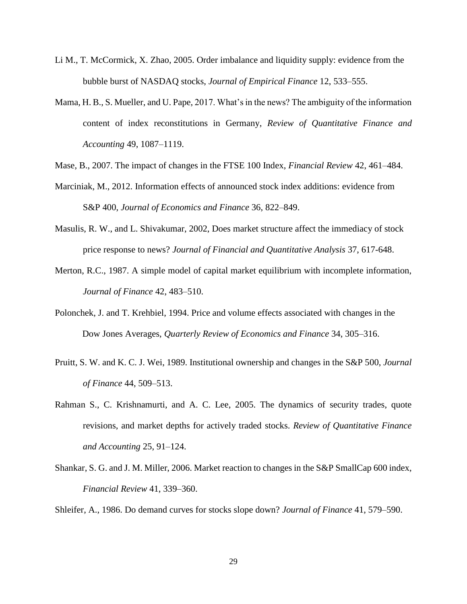- Li M., T. McCormick, X. Zhao, 2005. Order imbalance and liquidity supply: evidence from the bubble burst of NASDAQ stocks, *Journal of Empirical Finance* 12, 533–555.
- Mama, H. B., S. Mueller, and U. Pape, 2017. What's in the news? The ambiguity of the information content of index reconstitutions in Germany, *Review of Quantitative Finance and Accounting* 49, 1087–1119.
- Mase, B., 2007. The impact of changes in the FTSE 100 Index, *Financial Review* 42, 461–484.
- Marciniak, M., 2012. Information effects of announced stock index additions: evidence from S&P 400, *Journal of Economics and Finance* 36, 822–849.
- Masulis, R. W., and L. Shivakumar, 2002, Does market structure affect the immediacy of stock price response to news? *Journal of Financial and Quantitative Analysis* 37, 617-648.
- Merton, R.C., 1987. A simple model of capital market equilibrium with incomplete information, *Journal of Finance* 42, 483–510.
- Polonchek, J. and T. Krehbiel, 1994. Price and volume effects associated with changes in the Dow Jones Averages, *Quarterly Review of Economics and Finance* 34, 305–316.
- Pruitt, S. W. and K. C. J. Wei, 1989. Institutional ownership and changes in the S&P 500, *Journal of Finance* 44, 509–513.
- Rahman S., C. Krishnamurti, and A. C. Lee, 2005. The dynamics of security trades, quote revisions, and market depths for actively traded stocks. *Review of Quantitative Finance and Accounting* 25, 91–124.
- Shankar, S. G. and J. M. Miller, 2006. Market reaction to changes in the S&P SmallCap 600 index, *Financial Review* 41, 339–360.

Shleifer, A., 1986. Do demand curves for stocks slope down? *Journal of Finance* 41, 579–590.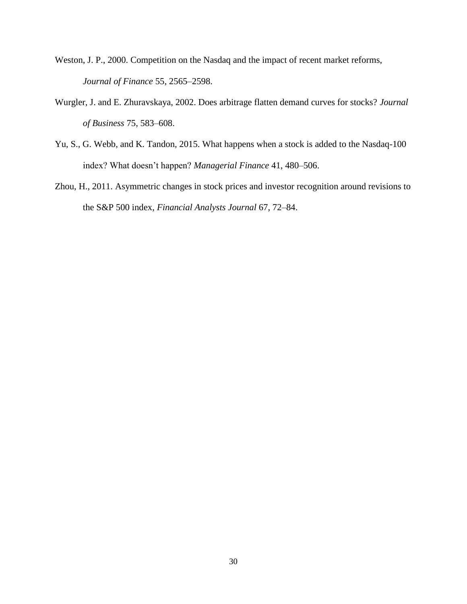- Weston, J. P., 2000. Competition on the Nasdaq and the impact of recent market reforms, *Journal of Finance* 55, 2565–2598.
- Wurgler, J. and E. Zhuravskaya, 2002. Does arbitrage flatten demand curves for stocks? *Journal of Business* 75, 583–608.
- Yu, S., G. Webb, and K. Tandon, 2015. What happens when a stock is added to the Nasdaq-100 index? What doesn't happen? *Managerial Finance* 41, 480–506.
- Zhou, H., 2011. Asymmetric changes in stock prices and investor recognition around revisions to the S&P 500 index, *Financial Analysts Journal* 67, 72–84.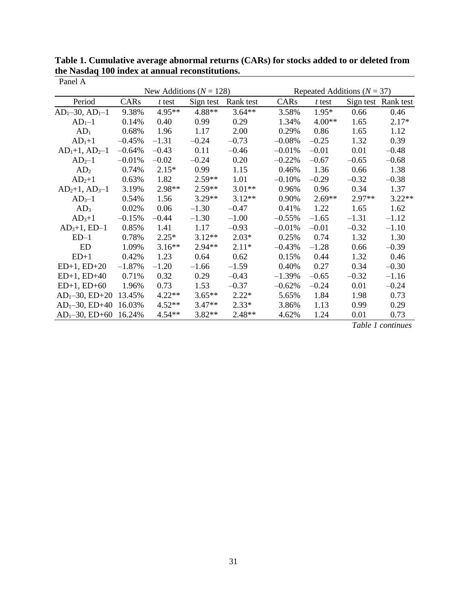| Panel A                 |          |          |                             |           |          |                                 |          |                     |  |  |
|-------------------------|----------|----------|-----------------------------|-----------|----------|---------------------------------|----------|---------------------|--|--|
|                         |          |          | New Additions ( $N = 128$ ) |           |          | Repeated Additions ( $N = 37$ ) |          |                     |  |  |
| Period                  | CARs     | $t$ test | Sign test                   | Rank test | CARs     | $t$ test                        |          | Sign test Rank test |  |  |
| $AD1$ -30, $AD1$ -1     | 9.38%    | $4.95**$ | 4.88**                      | $3.64**$  | 3.58%    | $1.95*$                         | 0.66     | 0.46                |  |  |
| $AD1-1$                 | 0.14%    | 0.40     | 0.99                        | 0.29      | 1.34%    | $4.00**$                        | 1.65     | $2.17*$             |  |  |
| AD <sub>1</sub>         | 0.68%    | 1.96     | 1.17                        | 2.00      | 0.29%    | 0.86                            | 1.65     | 1.12                |  |  |
| $AD1+1$                 | $-0.45%$ | $-1.31$  | $-0.24$                     | $-0.73$   | $-0.08%$ | $-0.25$                         | 1.32     | 0.39                |  |  |
| $AD_1+1$ , $AD_2-1$     | $-0.64%$ | $-0.43$  | 0.11                        | $-0.46$   | $-0.01%$ | $-0.01$                         | 0.01     | $-0.48$             |  |  |
| $AD2-1$                 | $-0.01%$ | $-0.02$  | $-0.24$                     | 0.20      | $-0.22%$ | $-0.67$                         | $-0.65$  | $-0.68$             |  |  |
| AD <sub>2</sub>         | 0.74%    | $2.15*$  | 0.99                        | 1.15      | 0.46%    | 1.36                            | 0.66     | 1.38                |  |  |
| $AD2+1$                 | 0.63%    | 1.82     | $2.59**$                    | 1.01      | $-0.10%$ | $-0.29$                         | $-0.32$  | $-0.38$             |  |  |
| $AD2+1$ , $AD3-1$       | 3.19%    | 2.98**   | $2.59**$                    | $3.01**$  | 0.96%    | 0.96                            | 0.34     | 1.37                |  |  |
| $AD3-1$                 | 0.54%    | 1.56     | $3.29**$                    | $3.12**$  | 0.90%    | $2.69**$                        | $2.97**$ | $3.22**$            |  |  |
| AD <sub>3</sub>         | 0.02%    | 0.06     | $-1.30$                     | $-0.47$   | 0.41%    | 1.22                            | 1.65     | 1.62                |  |  |
| $AD3+1$                 | $-0.15%$ | $-0.44$  | $-1.30$                     | $-1.00$   | $-0.55%$ | $-1.65$                         | $-1.31$  | $-1.12$             |  |  |
| $AD_3+1$ , ED-1         | 0.85%    | 1.41     | 1.17                        | $-0.93$   | $-0.01%$ | $-0.01$                         | $-0.32$  | $-1.10$             |  |  |
| $ED-1$                  | 0.78%    | $2.25*$  | $3.12**$                    | $2.03*$   | 0.25%    | 0.74                            | 1.32     | 1.30                |  |  |
| <b>ED</b>               | 1.09%    | $3.16**$ | $2.94**$                    | $2.11*$   | $-0.43%$ | $-1.28$                         | 0.66     | $-0.39$             |  |  |
| $ED+1$                  | 0.42%    | 1.23     | 0.64                        | 0.62      | 0.15%    | 0.44                            | 1.32     | 0.46                |  |  |
| $ED+1$ , $ED+20$        | $-1.87%$ | $-1.20$  | $-1.66$                     | $-1.59$   | 0.40%    | 0.27                            | 0.34     | $-0.30$             |  |  |
| $ED+1$ , $ED+40$        | 0.71%    | 0.32     | 0.29                        | $-0.43$   | $-1.39%$ | $-0.65$                         | $-0.32$  | $-1.16$             |  |  |
| $ED+1$ , $ED+60$        | 1.96%    | 0.73     | 1.53                        | $-0.37$   | $-0.62%$ | $-0.24$                         | 0.01     | $-0.24$             |  |  |
| $AD_1 - 30$ , $ED + 20$ | 13.45%   | $4.22**$ | $3.65**$                    | $2.22*$   | 5.65%    | 1.84                            | 1.98     | 0.73                |  |  |
| $AD_1 - 30$ , $ED + 40$ | 16.03%   | $4.52**$ | $3.47**$                    | $2.33*$   | 3.86%    | 1.13                            | 0.99     | 0.29                |  |  |
| $AD1$ -30, ED+60        | 16.24%   | $4.54**$ | $3.82**$                    | $2.48**$  | 4.62%    | 1.24                            | 0.01     | 0.73                |  |  |

**Table 1. Cumulative average abnormal returns (CARs) for stocks added to or deleted from the Nasdaq 100 index at annual reconstitutions.**

*Table 1 continues*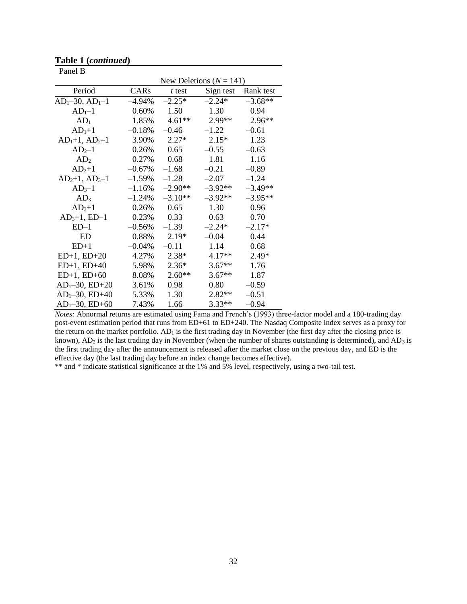| Panel B                 |           |           |                             |           |
|-------------------------|-----------|-----------|-----------------------------|-----------|
|                         |           |           | New Deletions ( $N = 141$ ) |           |
| Period                  | CARs      | $t$ test  | Sign test                   | Rank test |
| $AD1$ -30, $AD1$ -1     | $-4.94\%$ | $-2.25*$  | $-2.24*$                    | $-3.68**$ |
| $AD1-1$                 | $0.60\%$  | 1.50      | 1.30                        | 0.94      |
| $AD_1$                  | 1.85%     | $4.61**$  | 2.99**                      | $2.96**$  |
| $AD1+1$                 | $-0.18%$  | $-0.46$   | $-1.22$                     | $-0.61$   |
| $AD1+1$ , $AD2-1$       | 3.90%     | $2.27*$   | $2.15*$                     | 1.23      |
| $AD2-1$                 | 0.26%     | 0.65      | $-0.55$                     | $-0.63$   |
| AD <sub>2</sub>         | 0.27%     | 0.68      | 1.81                        | 1.16      |
| $AD2+1$                 | $-0.67\%$ | $-1.68$   | $-0.21$                     | $-0.89$   |
| $AD2+1, AD3-1$          | $-1.59%$  | $-1.28$   | $-2.07$                     | $-1.24$   |
| $AD3-1$                 | $-1.16%$  | $-2.90**$ | $-3.92**$                   | $-3.49**$ |
| AD <sub>3</sub>         | $-1.24%$  | $-3.10**$ | $-3.92**$                   | $-3.95**$ |
| $AD3+1$                 | 0.26%     | 0.65      | 1.30                        | 0.96      |
| $AD_3+1$ , ED-1         | 0.23%     | 0.33      | 0.63                        | 0.70      |
| $ED-1$                  | $-0.56%$  | $-1.39$   | $-2.24*$                    | $-2.17*$  |
| ED                      | 0.88%     | $2.19*$   | $-0.04$                     | 0.44      |
| $ED+1$                  | $-0.04%$  | $-0.11$   | 1.14                        | 0.68      |
| $ED+1$ , $ED+20$        | 4.27%     | $2.38*$   | $4.17**$                    | $2.49*$   |
| $ED+1$ , $ED+40$        | 5.98%     | $2.36*$   | $3.67**$                    | 1.76      |
| $ED+1$ , $ED+60$        | 8.08%     | $2.60**$  | $3.67**$                    | 1.87      |
| $AD_1 - 30$ , $ED + 20$ | 3.61%     | 0.98      | 0.80                        | $-0.59$   |
| $AD_1 - 30$ , $ED + 40$ | 5.33%     | 1.30      | $2.82**$                    | $-0.51$   |
| $AD_1 - 30$ , $ED + 60$ | 7.43%     | 1.66      | $3.33**$                    | $-0.94$   |

**Table 1 (***continued***)**

*Notes:* Abnormal returns are estimated using Fama and French's (1993) three-factor model and a 180-trading day post-event estimation period that runs from ED+61 to ED+240. The Nasdaq Composite index serves as a proxy for the return on the market portfolio.  $AD_1$  is the first trading day in November (the first day after the closing price is known),  $AD_2$  is the last trading day in November (when the number of shares outstanding is determined), and  $AD_3$  is the first trading day after the announcement is released after the market close on the previous day, and ED is the effective day (the last trading day before an index change becomes effective).

\*\* and \* indicate statistical significance at the 1% and 5% level, respectively, using a two-tail test.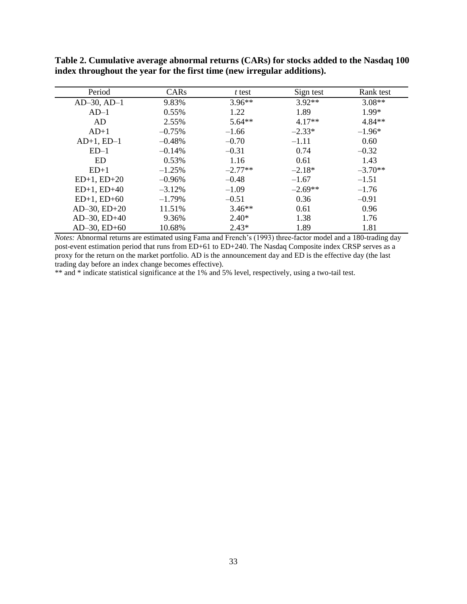| Period            | CAR <sub>s</sub> | t test    | Sign test | Rank test |
|-------------------|------------------|-----------|-----------|-----------|
| $AD-30$ , $AD-1$  | 9.83%            | $3.96**$  | $3.92**$  | $3.08**$  |
| $AD-1$            | $0.55\%$         | 1.22      | 1.89      | 1.99*     |
| AD.               | 2.55%            | $5.64**$  | $4.17**$  | $4.84**$  |
| $AD+1$            | $-0.75%$         | $-1.66$   | $-2.33*$  | $-1.96*$  |
| $AD+1$ , $ED-1$   | $-0.48%$         | $-0.70$   | $-1.11$   | 0.60      |
| $ED-1$            | $-0.14%$         | $-0.31$   | 0.74      | $-0.32$   |
| <b>ED</b>         | 0.53%            | 1.16      | 0.61      | 1.43      |
| $ED+1$            | $-1.25%$         | $-2.77**$ | $-2.18*$  | $-3.70**$ |
| $ED+1$ , $ED+20$  | $-0.96\%$        | $-0.48$   | $-1.67$   | $-1.51$   |
| $ED+1$ , $ED+40$  | $-3.12%$         | $-1.09$   | $-2.69**$ | $-1.76$   |
| $ED+1$ , $ED+60$  | $-1.79%$         | $-0.51$   | 0.36      | $-0.91$   |
| $AD-30$ , $ED+20$ | 11.51%           | $3.46**$  | 0.61      | 0.96      |
| $AD-30$ , $ED+40$ | 9.36%            | $2.40*$   | 1.38      | 1.76      |
| $AD-30$ , $ED+60$ | 10.68%           | $2.43*$   | 1.89      | 1.81      |

**Table 2. Cumulative average abnormal returns (CARs) for stocks added to the Nasdaq 100 index throughout the year for the first time (new irregular additions).**

*Notes:* Abnormal returns are estimated using Fama and French's (1993) three-factor model and a 180-trading day post-event estimation period that runs from ED+61 to ED+240. The Nasdaq Composite index CRSP serves as a proxy for the return on the market portfolio. AD is the announcement day and ED is the effective day (the last trading day before an index change becomes effective).

\*\* and \* indicate statistical significance at the 1% and 5% level, respectively, using a two-tail test.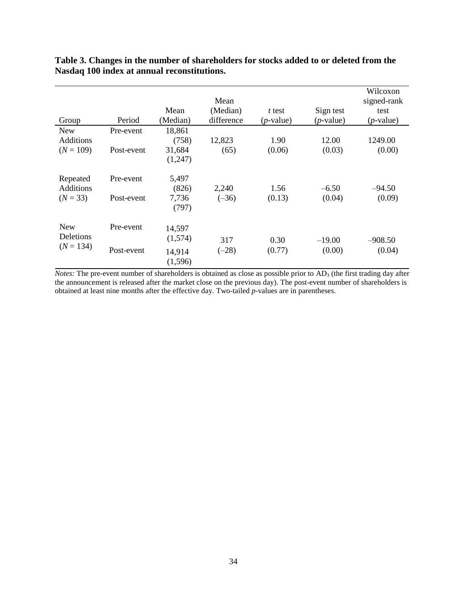|                  |            |                   | Mean       |              |              | Wilcoxon<br>signed-rank |
|------------------|------------|-------------------|------------|--------------|--------------|-------------------------|
|                  |            | Mean              | (Median)   | t test       | Sign test    | test                    |
| Group            | Period     | (Median)          | difference | $(p$ -value) | $(p$ -value) | $(p$ -value)            |
| <b>New</b>       | Pre-event  | 18,861            |            |              |              |                         |
| Additions        |            | (758)             | 12,823     | 1.90         | 12.00        | 1249.00                 |
| $(N = 109)$      | Post-event | 31,684            | (65)       | (0.06)       | (0.03)       | (0.00)                  |
|                  |            | (1,247)           |            |              |              |                         |
| Repeated         | Pre-event  | 5,497             |            |              |              |                         |
| <b>Additions</b> |            | (826)             | 2,240      | 1.56         | $-6.50$      | $-94.50$                |
| $(N = 33)$       | Post-event | 7,736             | $(-36)$    | (0.13)       | (0.04)       | (0.09)                  |
|                  |            | (797)             |            |              |              |                         |
| <b>New</b>       | Pre-event  | 14,597            |            |              |              |                         |
| Deletions        |            | (1,574)           | 317        | 0.30         | $-19.00$     | $-908.50$               |
| $(N = 134)$      | Post-event | 14,914<br>(1,596) | $(-28)$    | (0.77)       | (0.00)       | (0.04)                  |

# **Table 3. Changes in the number of shareholders for stocks added to or deleted from the Nasdaq 100 index at annual reconstitutions.**

*Notes:* The pre-event number of shareholders is obtained as close as possible prior to AD<sub>3</sub> (the first trading day after the announcement is released after the market close on the previous day). The post-event number of shareholders is obtained at least nine months after the effective day. Two-tailed *p*-values are in parentheses.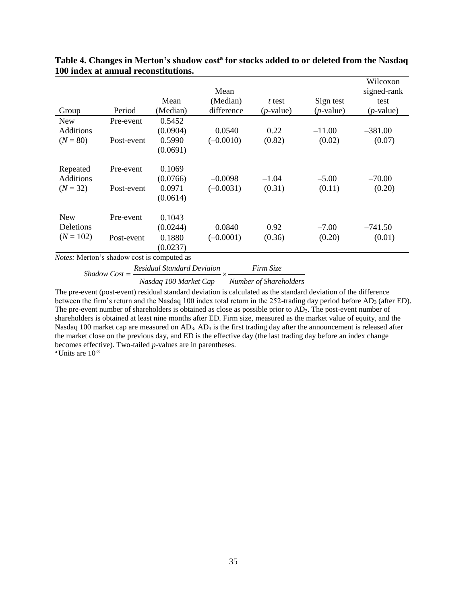|                                         |                                            |          |             |              |              | Wilcoxon     |  |  |
|-----------------------------------------|--------------------------------------------|----------|-------------|--------------|--------------|--------------|--|--|
|                                         |                                            |          | Mean        |              |              | signed-rank  |  |  |
|                                         |                                            | Mean     | (Median)    | t test       | Sign test    | test         |  |  |
| Group                                   | Period                                     | (Median) | difference  | $(p$ -value) | $(p$ -value) | $(p$ -value) |  |  |
| <b>New</b>                              | Pre-event                                  | 0.5452   |             |              |              |              |  |  |
| <b>Additions</b>                        |                                            | (0.0904) | 0.0540      | 0.22         | $-11.00$     | $-381.00$    |  |  |
| $(N = 80)$                              | Post-event                                 | 0.5990   | $(-0.0010)$ | (0.82)       | (0.02)       | (0.07)       |  |  |
|                                         |                                            | (0.0691) |             |              |              |              |  |  |
| Repeated                                | Pre-event                                  | 0.1069   |             |              |              |              |  |  |
| <b>Additions</b>                        |                                            | (0.0766) | $-0.0098$   | $-1.04$      | $-5.00$      | $-70.00$     |  |  |
| $(N = 32)$                              | Post-event                                 | 0.0971   | $(-0.0031)$ | (0.31)       | (0.11)       | (0.20)       |  |  |
|                                         |                                            | (0.0614) |             |              |              |              |  |  |
| <b>New</b>                              | Pre-event                                  | 0.1043   |             |              |              |              |  |  |
| Deletions                               |                                            | (0.0244) | 0.0840      | 0.92         | $-7.00$      | $-741.50$    |  |  |
| $(N = 102)$                             | Post-event                                 | 0.1880   | $(-0.0001)$ | (0.36)       | (0.20)       | (0.01)       |  |  |
|                                         |                                            | (0.0237) |             |              |              |              |  |  |
|                                         | Notes: Merton's shadow cost is computed as |          |             |              |              |              |  |  |
| Residual Standard Deviaion<br>Firm Size |                                            |          |             |              |              |              |  |  |
| $Shadow Cost =$                         |                                            |          |             |              |              |              |  |  |

# **Table 4. Changes in Merton's shadow cost<sup>a</sup> for stocks added to or deleted from the Nasdaq 100 index at annual reconstitutions.**

w cost is computed as<br>=  $\frac{Residual\ Standard\ Deviation}{Nasedaa\ 100\ Market\ Can} \times \frac{1}{Number}$ 

*n S Nasdaq 100 Market Cap X Number of Shareholders Nasdaq 100 Market Cap Number of Shareholders* 

The pre-event (post-event) residual standard deviation is calculated as the standard deviation of the difference between the firm's return and the Nasdaq 100 index total return in the 252-trading day period before AD<sub>3</sub> (after ED). The pre-event number of shareholders is obtained as close as possible prior to AD3. The post-event number of shareholders is obtained at least nine months after ED. Firm size, measured as the market value of equity, and the Nasdaq 100 market cap are measured on AD<sub>3</sub>. AD<sub>3</sub> is the first trading day after the announcement is released after the market close on the previous day, and ED is the effective day (the last trading day before an index change becomes effective). Two-tailed *p*-values are in parentheses.

 $a$  Units are  $10^{-3}$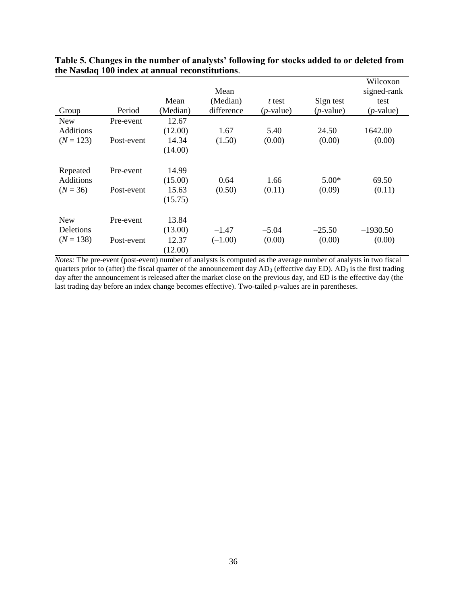|                  |            |          | Mean       |              |              | Wilcoxon<br>signed-rank |
|------------------|------------|----------|------------|--------------|--------------|-------------------------|
|                  |            | Mean     | (Median)   | t test       | Sign test    | test                    |
| Group            | Period     | (Median) | difference | $(p$ -value) | $(p$ -value) | $(p$ -value)            |
| <b>New</b>       | Pre-event  | 12.67    |            |              |              |                         |
| <b>Additions</b> |            | (12.00)  | 1.67       | 5.40         | 24.50        | 1642.00                 |
| $(N = 123)$      | Post-event | 14.34    | (1.50)     | (0.00)       | (0.00)       | (0.00)                  |
|                  |            | (14.00)  |            |              |              |                         |
| Repeated         | Pre-event  | 14.99    |            |              |              |                         |
| <b>Additions</b> |            | (15.00)  | 0.64       | 1.66         | $5.00*$      | 69.50                   |
| $(N = 36)$       | Post-event | 15.63    | (0.50)     | (0.11)       | (0.09)       | (0.11)                  |
|                  |            | (15.75)  |            |              |              |                         |
| <b>New</b>       | Pre-event  | 13.84    |            |              |              |                         |
| Deletions        |            | (13.00)  | $-1.47$    | $-5.04$      | $-25.50$     | $-1930.50$              |
| $(N = 138)$      | Post-event | 12.37    | $(-1.00)$  | (0.00)       | (0.00)       | (0.00)                  |
|                  |            | (12.00)  |            |              |              |                         |

**Table 5. Changes in the number of analysts' following for stocks added to or deleted from the Nasdaq 100 index at annual reconstitutions**.

*Notes:* The pre-event (post-event) number of analysts is computed as the average number of analysts in two fiscal quarters prior to (after) the fiscal quarter of the announcement day  $AD_3$  (effective day ED).  $AD_3$  is the first trading day after the announcement is released after the market close on the previous day, and ED is the effective day (the last trading day before an index change becomes effective). Two-tailed *p*-values are in parentheses.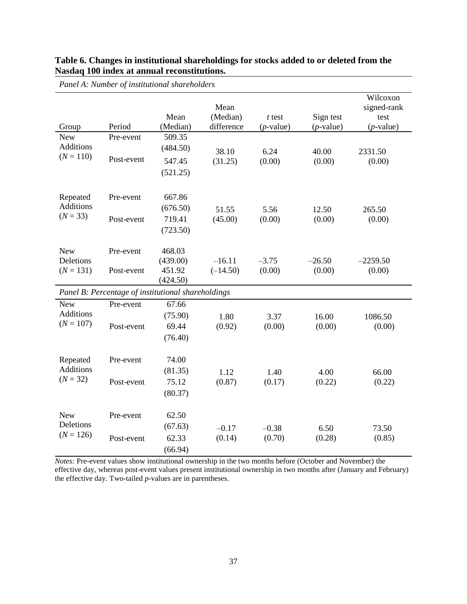| Panel A: Number of institutional shareholders |                                                    |                    |                                |                          |                           |                                                 |  |
|-----------------------------------------------|----------------------------------------------------|--------------------|--------------------------------|--------------------------|---------------------------|-------------------------------------------------|--|
| Group                                         | Period                                             | Mean<br>(Median)   | Mean<br>(Median)<br>difference | $t$ test<br>$(p$ -value) | Sign test<br>$(p$ -value) | Wilcoxon<br>signed-rank<br>test<br>$(p$ -value) |  |
| <b>New</b>                                    | Pre-event                                          | 509.35             |                                |                          |                           |                                                 |  |
| <b>Additions</b>                              |                                                    | (484.50)           | 38.10                          | 6.24                     | 40.00                     | 2331.50                                         |  |
| $(N = 110)$                                   | Post-event                                         | 547.45             | (31.25)                        | (0.00)                   | (0.00)                    | (0.00)                                          |  |
|                                               |                                                    | (521.25)           |                                |                          |                           |                                                 |  |
| Repeated                                      | Pre-event                                          | 667.86             |                                |                          |                           |                                                 |  |
| <b>Additions</b>                              |                                                    | (676.50)           | 51.55                          | 5.56                     | 12.50                     | 265.50                                          |  |
| $(N = 33)$                                    | Post-event                                         | 719.41             | (45.00)                        | (0.00)                   | (0.00)                    | (0.00)                                          |  |
|                                               |                                                    | (723.50)           |                                |                          |                           |                                                 |  |
| <b>New</b>                                    | Pre-event                                          | 468.03             |                                |                          |                           |                                                 |  |
| Deletions                                     |                                                    | (439.00)           | $-16.11$                       | $-3.75$                  | $-26.50$                  | $-2259.50$                                      |  |
| $(N = 131)$                                   | Post-event                                         | 451.92<br>(424.50) | $(-14.50)$                     | (0.00)                   | (0.00)                    | (0.00)                                          |  |
|                                               | Panel B: Percentage of institutional shareholdings |                    |                                |                          |                           |                                                 |  |
| <b>New</b>                                    | Pre-event                                          | 67.66              |                                |                          |                           |                                                 |  |
| <b>Additions</b>                              |                                                    | (75.90)            | 1.80                           | 3.37                     | 16.00                     | 1086.50                                         |  |
| $(N = 107)$                                   | Post-event                                         | 69.44              | (0.92)                         | (0.00)                   | (0.00)                    | (0.00)                                          |  |
|                                               |                                                    | (76.40)            |                                |                          |                           |                                                 |  |
| Repeated                                      | Pre-event                                          | 74.00              |                                |                          |                           |                                                 |  |
| <b>Additions</b>                              |                                                    | (81.35)            | 1.12                           | 1.40                     | 4.00                      | 66.00                                           |  |
| $(N = 32)$                                    | Post-event                                         | 75.12              | (0.87)                         | (0.17)                   | (0.22)                    | (0.22)                                          |  |
|                                               |                                                    | (80.37)            |                                |                          |                           |                                                 |  |
| <b>New</b>                                    | Pre-event                                          | 62.50              |                                |                          |                           |                                                 |  |
| Deletions                                     |                                                    | (67.63)            | $-0.17$                        | $-0.38$                  | 6.50                      | 73.50                                           |  |
| $(N = 126)$                                   | Post-event                                         | 62.33              | (0.14)                         | (0.70)                   | (0.28)                    | (0.85)                                          |  |
|                                               |                                                    | (66.94)            |                                |                          |                           |                                                 |  |

# **Table 6. Changes in institutional shareholdings for stocks added to or deleted from the Nasdaq 100 index at annual reconstitutions.**

*Notes:* Pre-event values show institutional ownership in the two months before (October and November) the effective day, whereas post-event values present institutional ownership in two months after (January and February) the effective day. Two-tailed *p*-values are in parentheses.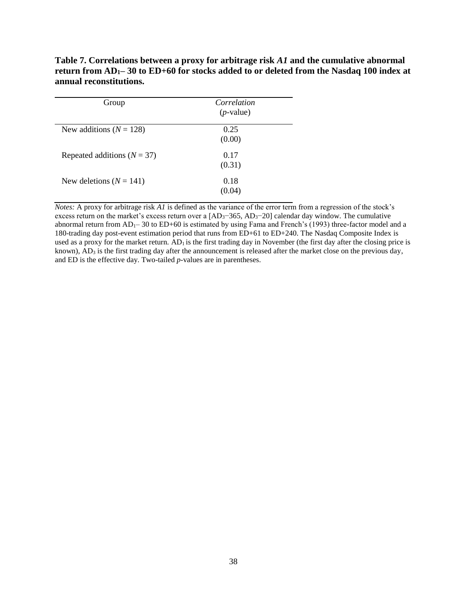| Group                           | Correlation<br>$(p$ -value) |
|---------------------------------|-----------------------------|
| New additions ( $N = 128$ )     | 0.25<br>(0.00)              |
| Repeated additions ( $N = 37$ ) | 0.17<br>(0.31)              |
| New deletions $(N = 141)$       | 0.18<br>(0.04)              |

**Table 7. Correlations between a proxy for arbitrage risk** *A1* **and the cumulative abnormal return from AD1– 30 to ED+60 for stocks added to or deleted from the Nasdaq 100 index at annual reconstitutions.**

*Notes:* A proxy for arbitrage risk *A1* is defined as the variance of the error term from a regression of the stock's excess return on the market's excess return over a [AD<sub>3</sub>−365, AD<sub>3</sub>−20] calendar day window. The cumulative abnormal return from  $AD_1$ – 30 to  $ED+60$  is estimated by using Fama and French's (1993) three-factor model and a 180-trading day post-event estimation period that runs from ED+61 to ED+240. The Nasdaq Composite Index is used as a proxy for the market return.  $AD<sub>1</sub>$  is the first trading day in November (the first day after the closing price is known),  $AD_3$  is the first trading day after the announcement is released after the market close on the previous day, and ED is the effective day. Two-tailed *p*-values are in parentheses.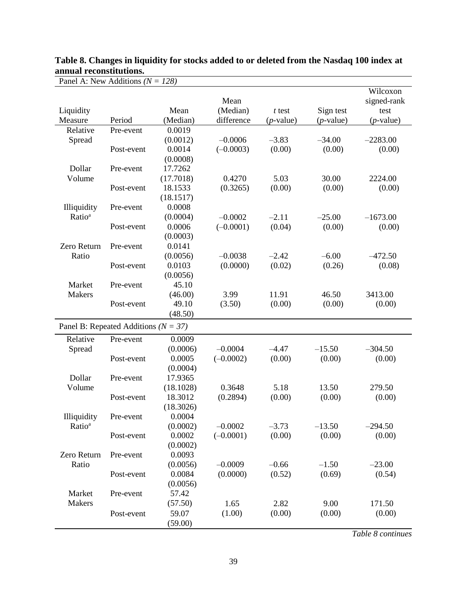| Panel A: New Additions ( $N = 128$ ) |                                          |                                   |                          |                   |                    |                                 |
|--------------------------------------|------------------------------------------|-----------------------------------|--------------------------|-------------------|--------------------|---------------------------------|
| Liquidity                            |                                          | Mean                              | Mean<br>(Median)         | $t$ test          | Sign test          | Wilcoxon<br>signed-rank<br>test |
| Measure                              | Period                                   | (Median)                          | difference               | $(p$ -value)      | $(p$ -value)       | $(p$ -value)                    |
| Relative                             | Pre-event                                | 0.0019                            |                          |                   |                    |                                 |
| Spread                               | Post-event                               | (0.0012)<br>0.0014<br>(0.0008)    | $-0.0006$<br>$(-0.0003)$ | $-3.83$<br>(0.00) | $-34.00$<br>(0.00) | $-2283.00$<br>(0.00)            |
| Dollar                               | Pre-event                                | 17.7262                           |                          |                   |                    |                                 |
| Volume                               | Post-event                               | (17.7018)<br>18.1533<br>(18.1517) | 0.4270<br>(0.3265)       | 5.03<br>(0.00)    | 30.00<br>(0.00)    | 2224.00<br>(0.00)               |
| Illiquidity                          | Pre-event                                | 0.0008                            |                          |                   |                    |                                 |
| Ratio <sup>a</sup>                   | Post-event                               | (0.0004)<br>0.0006<br>(0.0003)    | $-0.0002$<br>$(-0.0001)$ | $-2.11$<br>(0.04) | $-25.00$<br>(0.00) | $-1673.00$<br>(0.00)            |
| Zero Return<br>Ratio                 | Pre-event                                | 0.0141<br>(0.0056)                | $-0.0038$                | $-2.42$           | $-6.00$            | $-472.50$                       |
|                                      | Post-event                               | 0.0103<br>(0.0056)                | (0.0000)                 | (0.02)            | (0.26)             | (0.08)                          |
| Market<br><b>Makers</b>              | Pre-event                                | 45.10<br>(46.00)                  | 3.99                     | 11.91             | 46.50              | 3413.00                         |
|                                      | Post-event                               | 49.10<br>(48.50)                  | (3.50)                   | (0.00)            | (0.00)             | (0.00)                          |
|                                      |                                          |                                   |                          |                   |                    |                                 |
|                                      | Panel B: Repeated Additions ( $N = 37$ ) |                                   |                          |                   |                    |                                 |
| Relative                             | Pre-event                                | 0.0009                            |                          |                   |                    |                                 |
| Spread                               | Post-event                               | (0.0006)<br>0.0005<br>(0.0004)    | $-0.0004$<br>$(-0.0002)$ | $-4.47$<br>(0.00) | $-15.50$<br>(0.00) | $-304.50$<br>(0.00)             |
| Dollar<br>Volume                     | Pre-event                                | 17.9365<br>(18.1028)              | 0.3648                   | 5.18              | 13.50              | 279.50                          |
|                                      | Post-event                               | 18.3012<br>(18.3026)              | (0.2894)                 | (0.00)            | (0.00)             | (0.00)                          |
| Illiquidity<br>Ratio <sup>a</sup>    | Pre-event                                | 0.0004<br>(0.0002)                | $-0.0002$                | $-3.73$           | $-13.50$           | $-294.50$                       |
|                                      | Post-event                               | 0.0002<br>(0.0002)                | $(-0.0001)$              | (0.00)            | (0.00)             | (0.00)                          |
| Zero Return<br>Ratio                 | Pre-event                                | 0.0093<br>(0.0056)                | $-0.0009$                | $-0.66$           | $-1.50$            | $-23.00$                        |
| Market                               | Post-event<br>Pre-event                  | 0.0084<br>(0.0056)<br>57.42       | (0.0000)                 | (0.52)            | (0.69)             | (0.54)                          |
| Makers                               |                                          | (57.50)                           | 1.65                     | 2.82              | 9.00               | 171.50                          |
|                                      | Post-event                               | 59.07<br>(59.00)                  | (1.00)                   | (0.00)            | (0.00)             | (0.00)                          |

# **Table 8. Changes in liquidity for stocks added to or deleted from the Nasdaq 100 index at annual reconstitutions.**

*Table 8 continues*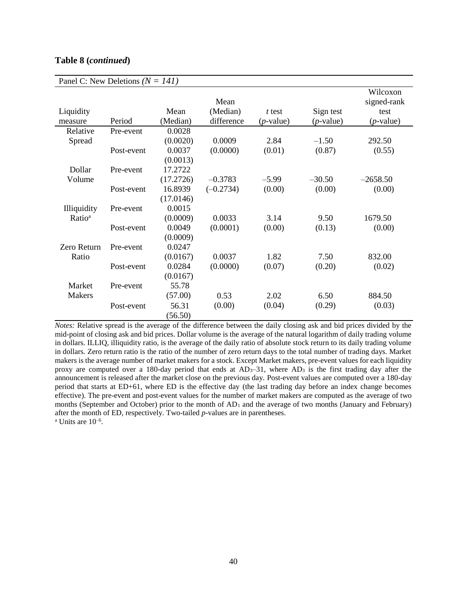| Panel C: New Deletions ( $N = 141$ ) |            |           |             |              |              |              |  |
|--------------------------------------|------------|-----------|-------------|--------------|--------------|--------------|--|
|                                      |            |           | Mean        |              |              | Wilcoxon     |  |
|                                      |            |           |             |              |              | signed-rank  |  |
| Liquidity                            |            | Mean      | (Median)    | t test       | Sign test    | test         |  |
| measure                              | Period     | (Median)  | difference  | $(p$ -value) | $(p$ -value) | $(p$ -value) |  |
| Relative                             | Pre-event  | 0.0028    |             |              |              |              |  |
| Spread                               |            | (0.0020)  | 0.0009      | 2.84         | $-1.50$      | 292.50       |  |
|                                      | Post-event | 0.0037    | (0.0000)    | (0.01)       | (0.87)       | (0.55)       |  |
|                                      |            | (0.0013)  |             |              |              |              |  |
| Dollar                               | Pre-event  | 17.2722   |             |              |              |              |  |
| Volume                               |            | (17.2726) | $-0.3783$   | $-5.99$      | $-30.50$     | $-2658.50$   |  |
|                                      | Post-event | 16.8939   | $(-0.2734)$ | (0.00)       | (0.00)       | (0.00)       |  |
|                                      |            | (17.0146) |             |              |              |              |  |
| Illiquidity                          | Pre-event  | 0.0015    |             |              |              |              |  |
| Ratio <sup>a</sup>                   |            | (0.0009)  | 0.0033      | 3.14         | 9.50         | 1679.50      |  |
|                                      | Post-event | 0.0049    | (0.0001)    | (0.00)       | (0.13)       | (0.00)       |  |
|                                      |            | (0.0009)  |             |              |              |              |  |
| Zero Return                          | Pre-event  | 0.0247    |             |              |              |              |  |
| Ratio                                |            | (0.0167)  | 0.0037      | 1.82         | 7.50         | 832.00       |  |
|                                      | Post-event | 0.0284    | (0.0000)    | (0.07)       | (0.20)       | (0.02)       |  |
|                                      |            | (0.0167)  |             |              |              |              |  |
| Market                               | Pre-event  | 55.78     |             |              |              |              |  |
| <b>Makers</b>                        |            | (57.00)   | 0.53        | 2.02         | 6.50         | 884.50       |  |
|                                      | Post-event | 56.31     | (0.00)      | (0.04)       | (0.29)       | (0.03)       |  |
|                                      |            | (56.50)   |             |              |              |              |  |

### **Table 8 (***continued***)**

*Notes:* Relative spread is the average of the difference between the daily closing ask and bid prices divided by the mid-point of closing ask and bid prices. Dollar volume is the average of the natural logarithm of daily trading volume in dollars. ILLIQ, illiquidity ratio, is the average of the daily ratio of absolute stock return to its daily trading volume in dollars. Zero return ratio is the ratio of the number of zero return days to the total number of trading days. Market makers is the average number of market makers for a stock. Except Market makers, pre-event values for each liquidity proxy are computed over a 180-day period that ends at  $AD_3-31$ , where  $AD_3$  is the first trading day after the announcement is released after the market close on the previous day. Post-event values are computed over a 180-day period that starts at ED+61, where ED is the effective day (the last trading day before an index change becomes effective). The pre-event and post-event values for the number of market makers are computed as the average of two months (September and October) prior to the month of  $AD_1$  and the average of two months (January and February) after the month of ED, respectively. Two-tailed *p*-values are in parentheses.  $^a$  Units are  $10^{-6}$ .